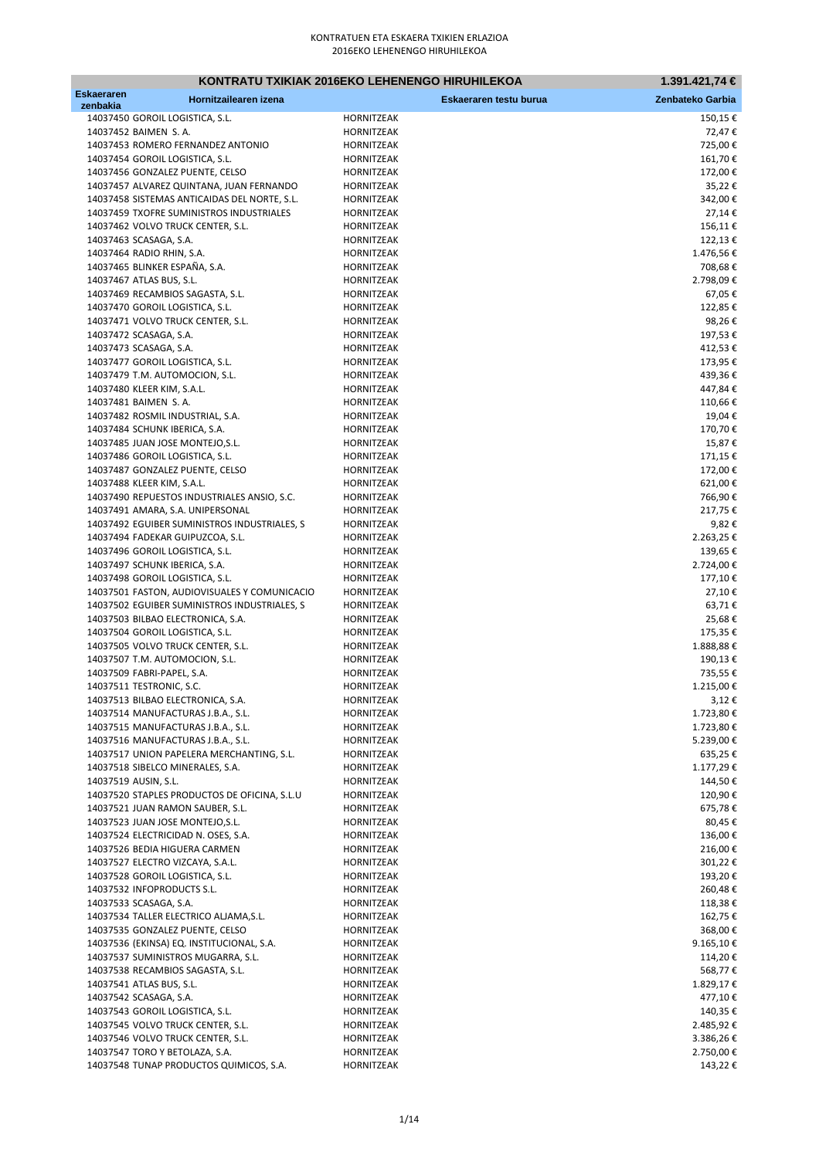|                   | KONTRATU TXIKIAK 2016EKO LEHENENGO HIRUHILEKOA                                   |                          |                        | 1.391.421,74 €         |
|-------------------|----------------------------------------------------------------------------------|--------------------------|------------------------|------------------------|
| <b>Eskaeraren</b> | Hornitzailearen izena                                                            |                          | Eskaeraren testu burua | Zenbateko Garbia       |
| zenbakia          | 14037450 GOROIL LOGISTICA, S.L.                                                  | HORNITZEAK               |                        | 150,15€                |
|                   | 14037452 BAIMEN S.A.                                                             | HORNITZEAK               |                        | 72,47€                 |
|                   | 14037453 ROMERO FERNANDEZ ANTONIO                                                | HORNITZEAK               |                        | 725,00€                |
|                   | 14037454 GOROIL LOGISTICA, S.L.                                                  | HORNITZEAK               |                        | 161,70€                |
|                   | 14037456 GONZALEZ PUENTE, CELSO                                                  | HORNITZEAK               |                        | 172,00€                |
|                   | 14037457 ALVAREZ QUINTANA, JUAN FERNANDO                                         | HORNITZEAK               |                        | 35,22€                 |
|                   | 14037458 SISTEMAS ANTICAIDAS DEL NORTE, S.L.                                     | HORNITZEAK               |                        | 342,00€                |
|                   | 14037459 TXOFRE SUMINISTROS INDUSTRIALES<br>14037462 VOLVO TRUCK CENTER, S.L.    | HORNITZEAK<br>HORNITZEAK |                        | 27,14€<br>156,11€      |
|                   | 14037463 SCASAGA, S.A.                                                           | HORNITZEAK               |                        | 122,13€                |
|                   | 14037464 RADIO RHIN, S.A.                                                        | HORNITZEAK               |                        | 1.476,56€              |
|                   | 14037465 BLINKER ESPAÑA, S.A.                                                    | HORNITZEAK               |                        | 708,68€                |
|                   | 14037467 ATLAS BUS, S.L.                                                         | HORNITZEAK               |                        | 2.798,09€              |
|                   | 14037469 RECAMBIOS SAGASTA, S.L.                                                 | HORNITZEAK               |                        | 67,05€                 |
|                   | 14037470 GOROIL LOGISTICA, S.L.<br>14037471 VOLVO TRUCK CENTER, S.L.             | HORNITZEAK<br>HORNITZEAK |                        | 122,85€<br>98,26€      |
|                   | 14037472 SCASAGA, S.A.                                                           | HORNITZEAK               |                        | 197,53€                |
|                   | 14037473 SCASAGA, S.A.                                                           | HORNITZEAK               |                        | 412,53€                |
|                   | 14037477 GOROIL LOGISTICA, S.L.                                                  | HORNITZEAK               |                        | 173,95€                |
|                   | 14037479 T.M. AUTOMOCION, S.L.                                                   | HORNITZEAK               |                        | 439,36€                |
|                   | 14037480 KLEER KIM, S.A.L.                                                       | HORNITZEAK               |                        | 447,84€                |
|                   | 14037481 BAIMEN S.A.                                                             | HORNITZEAK               |                        | 110,66€                |
|                   | 14037482 ROSMIL INDUSTRIAL, S.A.<br>14037484 SCHUNK IBERICA, S.A.                | HORNITZEAK<br>HORNITZEAK |                        | 19,04€<br>170,70€      |
|                   | 14037485 JUAN JOSE MONTEJO, S.L.                                                 | HORNITZEAK               |                        | 15,87€                 |
|                   | 14037486 GOROIL LOGISTICA, S.L.                                                  | HORNITZEAK               |                        | 171,15€                |
|                   | 14037487 GONZALEZ PUENTE, CELSO                                                  | HORNITZEAK               |                        | 172,00€                |
|                   | 14037488 KLEER KIM, S.A.L.                                                       | HORNITZEAK               |                        | 621,00€                |
|                   | 14037490 REPUESTOS INDUSTRIALES ANSIO, S.C.                                      | HORNITZEAK               |                        | 766,90€                |
|                   | 14037491 AMARA, S.A. UNIPERSONAL                                                 | HORNITZEAK               |                        | 217,75€                |
|                   | 14037492 EGUIBER SUMINISTROS INDUSTRIALES, S<br>14037494 FADEKAR GUIPUZCOA, S.L. | HORNITZEAK<br>HORNITZEAK |                        | 9,82€<br>2.263,25€     |
|                   | 14037496 GOROIL LOGISTICA, S.L.                                                  | HORNITZEAK               |                        | 139,65€                |
|                   | 14037497 SCHUNK IBERICA, S.A.                                                    | HORNITZEAK               |                        | 2.724,00€              |
|                   | 14037498 GOROIL LOGISTICA, S.L.                                                  | HORNITZEAK               |                        | 177,10€                |
|                   | 14037501 FASTON, AUDIOVISUALES Y COMUNICACIO                                     | HORNITZEAK               |                        | 27,10€                 |
|                   | 14037502 EGUIBER SUMINISTROS INDUSTRIALES, S                                     | HORNITZEAK               |                        | 63,71€                 |
|                   | 14037503 BILBAO ELECTRONICA, S.A.<br>14037504 GOROIL LOGISTICA, S.L.             | HORNITZEAK<br>HORNITZEAK |                        | 25,68€<br>175,35€      |
|                   | 14037505 VOLVO TRUCK CENTER, S.L.                                                | HORNITZEAK               |                        | 1.888,88€              |
|                   | 14037507 T.M. AUTOMOCION, S.L.                                                   | <b>HORNITZEAK</b>        |                        | 190,13€                |
|                   | 14037509 FABRI-PAPEL, S.A.                                                       | HORNITZEAK               |                        | 735,55€                |
|                   | 14037511 TESTRONIC, S.C.                                                         | HORNITZEAK               |                        | 1.215,00€              |
|                   | 14037513 BILBAO ELECTRONICA, S.A.<br>14037514 MANUFACTURAS J.B.A., S.L.          | HORNITZEAK<br>HORNITZEAK |                        | 3,12€                  |
|                   | 14037515 MANUFACTURAS J.B.A., S.L.                                               | HORNITZEAK               |                        | 1.723,80€<br>1.723,80€ |
|                   | 14037516 MANUFACTURAS J.B.A., S.L.                                               | HORNITZEAK               |                        | 5.239,00€              |
|                   | 14037517 UNION PAPELERA MERCHANTING, S.L.                                        | HORNITZEAK               |                        | 635,25€                |
|                   | 14037518 SIBELCO MINERALES, S.A.                                                 | HORNITZEAK               |                        | 1.177,29€              |
|                   | 14037519 AUSIN, S.L.                                                             | HORNITZEAK               |                        | 144,50€                |
|                   | 14037520 STAPLES PRODUCTOS DE OFICINA, S.L.U                                     | HORNITZEAK               |                        | 120,90€                |
|                   | 14037521 JUAN RAMON SAUBER, S.L.<br>14037523 JUAN JOSE MONTEJO, S.L.             | HORNITZEAK<br>HORNITZEAK |                        | 675,78€<br>80,45€      |
|                   | 14037524 ELECTRICIDAD N. OSES, S.A.                                              | HORNITZEAK               |                        | 136,00€                |
|                   | 14037526 BEDIA HIGUERA CARMEN                                                    | HORNITZEAK               |                        | 216,00€                |
|                   | 14037527 ELECTRO VIZCAYA, S.A.L.                                                 | HORNITZEAK               |                        | 301,22€                |
|                   | 14037528 GOROIL LOGISTICA, S.L.                                                  | HORNITZEAK               |                        | 193,20€                |
|                   | 14037532 INFOPRODUCTS S.L.                                                       | HORNITZEAK               |                        | 260,48€                |
|                   | 14037533 SCASAGA, S.A.<br>14037534 TALLER ELECTRICO ALJAMA, S.L.                 | HORNITZEAK<br>HORNITZEAK |                        | 118,38€<br>162,75€     |
|                   | 14037535 GONZALEZ PUENTE, CELSO                                                  | HORNITZEAK               |                        | 368,00€                |
|                   | 14037536 (EKINSA) EQ. INSTITUCIONAL, S.A.                                        | HORNITZEAK               |                        | 9.165,10€              |
|                   | 14037537 SUMINISTROS MUGARRA, S.L.                                               | HORNITZEAK               |                        | 114,20€                |
|                   | 14037538 RECAMBIOS SAGASTA, S.L.                                                 | HORNITZEAK               |                        | 568,77€                |
|                   | 14037541 ATLAS BUS, S.L.                                                         | HORNITZEAK               |                        | 1.829,17€              |
|                   | 14037542 SCASAGA, S.A.                                                           | HORNITZEAK<br>HORNITZEAK |                        | 477,10€<br>140,35€     |
|                   | 14037543 GOROIL LOGISTICA, S.L.<br>14037545 VOLVO TRUCK CENTER, S.L.             | HORNITZEAK               |                        | 2.485,92€              |
|                   | 14037546 VOLVO TRUCK CENTER, S.L.                                                | HORNITZEAK               |                        | 3.386,26€              |
|                   | 14037547 TORO Y BETOLAZA, S.A.                                                   | HORNITZEAK               |                        | 2.750,00€              |
|                   | 14037548 TUNAP PRODUCTOS QUIMICOS, S.A.                                          | HORNITZEAK               |                        | 143,22€                |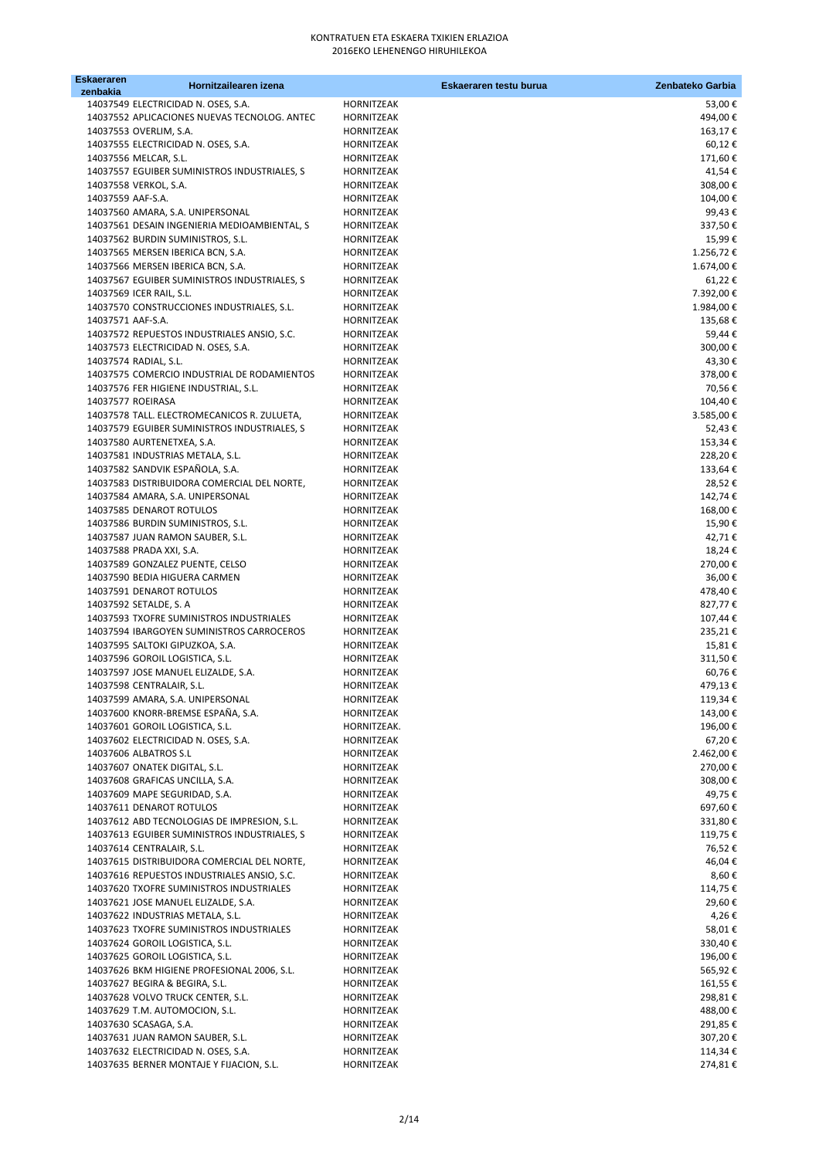| <b>Eskaeraren</b><br>zenbakia | Hornitzailearen izena                                                          |                           | Eskaeraren testu burua | Zenbateko Garbia   |
|-------------------------------|--------------------------------------------------------------------------------|---------------------------|------------------------|--------------------|
|                               | 14037549 ELECTRICIDAD N. OSES, S.A.                                            | HORNITZEAK                |                        | 53,00€             |
|                               | 14037552 APLICACIONES NUEVAS TECNOLOG. ANTEC                                   | HORNITZEAK                |                        | 494,00€            |
|                               | 14037553 OVERLIM, S.A.                                                         | HORNITZEAK                |                        | 163,17€            |
|                               | 14037555 ELECTRICIDAD N. OSES, S.A.                                            | HORNITZEAK                |                        | 60,12€             |
|                               | 14037556 MELCAR, S.L.                                                          | HORNITZEAK                |                        | 171,60€            |
|                               | 14037557 EGUIBER SUMINISTROS INDUSTRIALES, S                                   | HORNITZEAK                |                        | 41,54€             |
|                               | 14037558 VERKOL, S.A.                                                          | HORNITZEAK                |                        | 308,00€            |
| 14037559 AAF-S.A.             | 14037560 AMARA, S.A. UNIPERSONAL                                               | HORNITZEAK<br>HORNITZEAK  |                        | 104,00€<br>99,43€  |
|                               | 14037561 DESAIN INGENIERIA MEDIOAMBIENTAL, S                                   | HORNITZEAK                |                        | 337,50€            |
|                               | 14037562 BURDIN SUMINISTROS, S.L.                                              | <b>HORNITZEAK</b>         |                        | 15,99€             |
|                               | 14037565 MERSEN IBERICA BCN, S.A.                                              | HORNITZEAK                |                        | 1.256,72€          |
|                               | 14037566 MERSEN IBERICA BCN, S.A.                                              | HORNITZEAK                |                        | 1.674,00€          |
|                               | 14037567 EGUIBER SUMINISTROS INDUSTRIALES, S                                   | HORNITZEAK                |                        | 61,22€             |
|                               | 14037569 ICER RAIL, S.L.                                                       | HORNITZEAK                |                        | 7.392,00€          |
|                               | 14037570 CONSTRUCCIONES INDUSTRIALES, S.L.                                     | HORNITZEAK                |                        | 1.984,00€          |
| 14037571 AAF-S.A.             | 14037572 REPUESTOS INDUSTRIALES ANSIO, S.C.                                    | HORNITZEAK<br>HORNITZEAK  |                        | 135,68€<br>59,44€  |
|                               | 14037573 ELECTRICIDAD N. OSES, S.A.                                            | HORNITZEAK                |                        | 300,00€            |
|                               | 14037574 RADIAL, S.L.                                                          | HORNITZEAK                |                        | 43,30€             |
|                               | 14037575 COMERCIO INDUSTRIAL DE RODAMIENTOS                                    | HORNITZEAK                |                        | 378,00€            |
|                               | 14037576 FER HIGIENE INDUSTRIAL, S.L.                                          | HORNITZEAK                |                        | 70,56€             |
| 14037577 ROEIRASA             |                                                                                | <b>HORNITZEAK</b>         |                        | 104,40€            |
|                               | 14037578 TALL. ELECTROMECANICOS R. ZULUETA,                                    | HORNITZEAK                |                        | 3.585,00 €         |
|                               | 14037579 EGUIBER SUMINISTROS INDUSTRIALES, S                                   | HORNITZEAK                |                        | 52,43€             |
|                               | 14037580 AURTENETXEA, S.A.                                                     | HORNITZEAK                |                        | 153,34€            |
|                               | 14037581 INDUSTRIAS METALA, S.L.                                               | HORNITZEAK                |                        | 228,20€            |
|                               | 14037582 SANDVIK ESPAÑOLA, S.A.<br>14037583 DISTRIBUIDORA COMERCIAL DEL NORTE, | HORNITZEAK<br>HORNITZEAK  |                        | 133,64€<br>28,52€  |
|                               | 14037584 AMARA, S.A. UNIPERSONAL                                               | HORNITZEAK                |                        | 142,74€            |
|                               | 14037585 DENAROT ROTULOS                                                       | HORNITZEAK                |                        | 168,00€            |
|                               | 14037586 BURDIN SUMINISTROS, S.L.                                              | HORNITZEAK                |                        | 15,90€             |
|                               | 14037587 JUAN RAMON SAUBER, S.L.                                               | HORNITZEAK                |                        | 42,71€             |
|                               | 14037588 PRADA XXI, S.A.                                                       | HORNITZEAK                |                        | 18,24€             |
|                               | 14037589 GONZALEZ PUENTE, CELSO                                                | HORNITZEAK                |                        | 270,00€            |
|                               | 14037590 BEDIA HIGUERA CARMEN                                                  | HORNITZEAK                |                        | 36,00€             |
|                               | 14037591 DENAROT ROTULOS                                                       | HORNITZEAK<br>HORNITZEAK  |                        | 478,40€            |
|                               | 14037592 SETALDE, S. A<br>14037593 TXOFRE SUMINISTROS INDUSTRIALES             | HORNITZEAK                |                        | 827,77€<br>107,44€ |
|                               | 14037594 IBARGOYEN SUMINISTROS CARROCEROS                                      | HORNITZEAK                |                        | 235,21€            |
|                               | 14037595 SALTOKI GIPUZKOA, S.A.                                                | <b>HORNITZEAK</b>         |                        | 15,81€             |
|                               | 14037596 GOROIL LOGISTICA, S.L.                                                | HORNITZEAK                |                        | 311,50€            |
|                               | 14037597 JOSE MANUEL ELIZALDE, S.A.                                            | <b>HORNITZEAK</b>         |                        | 60,76€             |
|                               | 14037598 CENTRALAIR, S.L.                                                      | HORNITZEAK                |                        | 479,13€            |
|                               | 14037599 AMARA, S.A. UNIPERSONAL                                               | HORNITZEAK                |                        | 119,34€            |
|                               | 14037600 KNORR-BREMSE ESPAÑA, S.A.<br>14037601 GOROIL LOGISTICA, S.L.          | HORNITZEAK                |                        | 143,00€            |
|                               | 14037602 ELECTRICIDAD N. OSES, S.A.                                            | HORNITZEAK.<br>HORNITZEAK |                        | 196,00€<br>67,20€  |
|                               | 14037606 ALBATROS S.L                                                          | HORNITZEAK                |                        | 2.462,00 €         |
|                               | 14037607 ONATEK DIGITAL, S.L.                                                  | <b>HORNITZEAK</b>         |                        | 270,00€            |
|                               | 14037608 GRAFICAS UNCILLA, S.A.                                                | HORNITZEAK                |                        | 308,00€            |
|                               | 14037609 MAPE SEGURIDAD, S.A.                                                  | HORNITZEAK                |                        | 49,75€             |
|                               | 14037611 DENAROT ROTULOS                                                       | HORNITZEAK                |                        | 697,60€            |
|                               | 14037612 ABD TECNOLOGIAS DE IMPRESION, S.L.                                    | <b>HORNITZEAK</b>         |                        | 331,80€            |
|                               | 14037613 EGUIBER SUMINISTROS INDUSTRIALES, S                                   | HORNITZEAK                |                        | 119,75€            |
|                               | 14037614 CENTRALAIR, S.L.<br>14037615 DISTRIBUIDORA COMERCIAL DEL NORTE,       | HORNITZEAK<br>HORNITZEAK  |                        | 76,52€<br>46,04€   |
|                               | 14037616 REPUESTOS INDUSTRIALES ANSIO, S.C.                                    | HORNITZEAK                |                        | 8,60€              |
|                               | 14037620 TXOFRE SUMINISTROS INDUSTRIALES                                       | HORNITZEAK                |                        | 114,75€            |
|                               | 14037621 JOSE MANUEL ELIZALDE, S.A.                                            | HORNITZEAK                |                        | 29,60€             |
|                               | 14037622 INDUSTRIAS METALA, S.L.                                               | HORNITZEAK                |                        | 4,26 €             |
|                               | 14037623 TXOFRE SUMINISTROS INDUSTRIALES                                       | HORNITZEAK                |                        | 58,01€             |
|                               | 14037624 GOROIL LOGISTICA, S.L.                                                | HORNITZEAK                |                        | 330,40€            |
|                               | 14037625 GOROIL LOGISTICA, S.L.                                                | HORNITZEAK                |                        | 196,00€            |
|                               | 14037626 BKM HIGIENE PROFESIONAL 2006, S.L.                                    | HORNITZEAK                |                        | 565,92€            |
|                               | 14037627 BEGIRA & BEGIRA, S.L.<br>14037628 VOLVO TRUCK CENTER, S.L.            | HORNITZEAK<br>HORNITZEAK  |                        | 161,55€<br>298,81€ |
|                               | 14037629 T.M. AUTOMOCION, S.L.                                                 | HORNITZEAK                |                        | 488,00€            |
|                               | 14037630 SCASAGA, S.A.                                                         | HORNITZEAK                |                        | 291,85€            |
|                               | 14037631 JUAN RAMON SAUBER, S.L.                                               | HORNITZEAK                |                        | 307,20€            |
|                               | 14037632 ELECTRICIDAD N. OSES, S.A.                                            | HORNITZEAK                |                        | 114,34€            |
|                               | 14037635 BERNER MONTAJE Y FIJACION, S.L.                                       | HORNITZEAK                |                        | 274,81€            |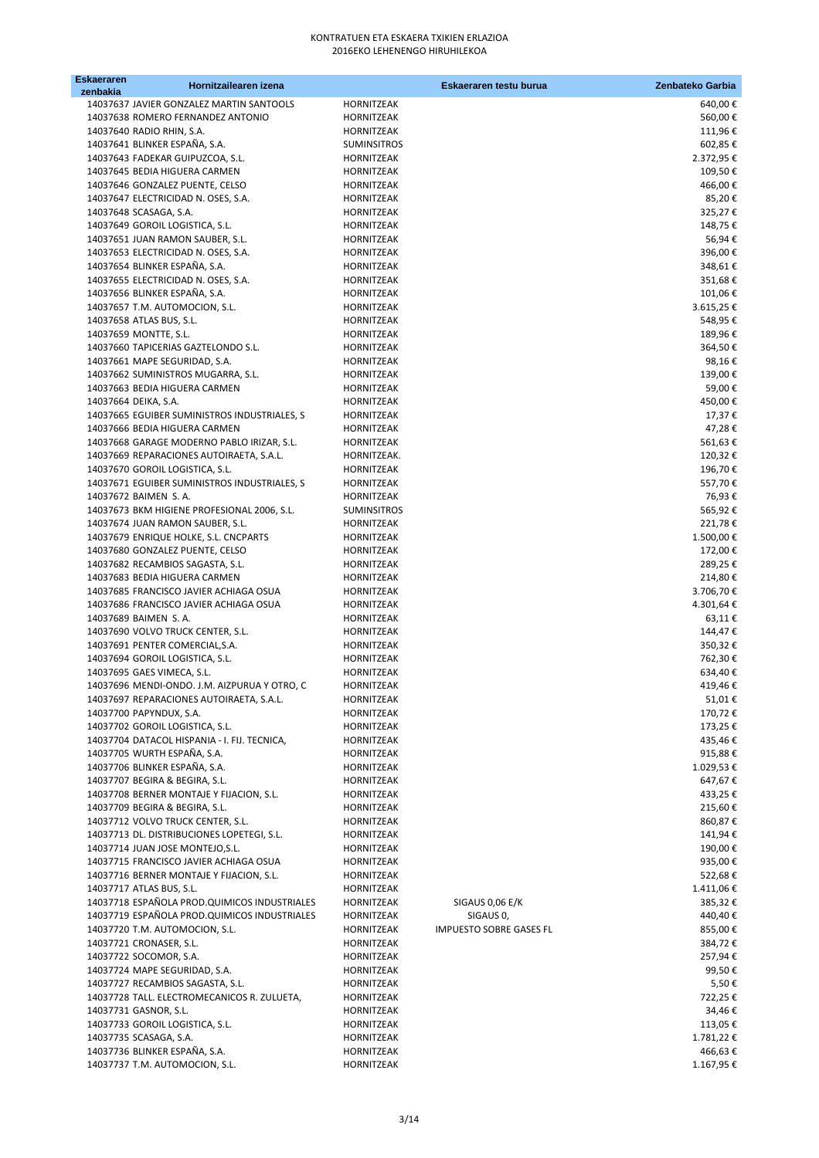| <b>Eskaeraren</b><br>zenbakia | Hornitzailearen izena                                                           |                                  | Eskaeraren testu burua         | Zenbateko Garbia   |
|-------------------------------|---------------------------------------------------------------------------------|----------------------------------|--------------------------------|--------------------|
|                               | 14037637 JAVIER GONZALEZ MARTIN SANTOOLS                                        | HORNITZEAK                       |                                | 640,00€            |
|                               | 14037638 ROMERO FERNANDEZ ANTONIO                                               | <b>HORNITZEAK</b>                |                                | 560,00€            |
|                               | 14037640 RADIO RHIN, S.A.                                                       | HORNITZEAK                       |                                | 111,96€            |
|                               | 14037641 BLINKER ESPAÑA, S.A.                                                   | <b>SUMINSITROS</b>               |                                | 602,85€            |
|                               | 14037643 FADEKAR GUIPUZCOA, S.L.                                                | HORNITZEAK                       |                                | 2.372,95€          |
|                               | 14037645 BEDIA HIGUERA CARMEN                                                   | HORNITZEAK                       |                                | 109,50€            |
|                               | 14037646 GONZALEZ PUENTE, CELSO                                                 | HORNITZEAK                       |                                | 466,00€            |
|                               | 14037647 ELECTRICIDAD N. OSES, S.A.<br>14037648 SCASAGA, S.A.                   | HORNITZEAK<br>HORNITZEAK         |                                | 85,20€<br>325,27€  |
|                               | 14037649 GOROIL LOGISTICA, S.L.                                                 | HORNITZEAK                       |                                | 148,75€            |
|                               | 14037651 JUAN RAMON SAUBER, S.L.                                                | <b>HORNITZEAK</b>                |                                | 56,94€             |
|                               | 14037653 ELECTRICIDAD N. OSES, S.A.                                             | HORNITZEAK                       |                                | 396,00€            |
|                               | 14037654 BLINKER ESPAÑA, S.A.                                                   | HORNITZEAK                       |                                | 348,61€            |
|                               | 14037655 ELECTRICIDAD N. OSES, S.A.                                             | HORNITZEAK                       |                                | 351,68€            |
|                               | 14037656 BLINKER ESPAÑA, S.A.                                                   | HORNITZEAK                       |                                | 101,06€            |
|                               | 14037657 T.M. AUTOMOCION, S.L.                                                  | HORNITZEAK                       |                                | 3.615,25€          |
|                               | 14037658 ATLAS BUS, S.L.                                                        | HORNITZEAK                       |                                | 548,95 €           |
|                               | 14037659 MONTTE, S.L.                                                           | HORNITZEAK                       |                                | 189,96€            |
|                               | 14037660 TAPICERIAS GAZTELONDO S.L.<br>14037661 MAPE SEGURIDAD, S.A.            | HORNITZEAK<br><b>HORNITZEAK</b>  |                                | 364,50€<br>98,16€  |
|                               | 14037662 SUMINISTROS MUGARRA, S.L.                                              | HORNITZEAK                       |                                | 139,00€            |
|                               | 14037663 BEDIA HIGUERA CARMEN                                                   | HORNITZEAK                       |                                | 59,00€             |
|                               | 14037664 DEIKA, S.A.                                                            | HORNITZEAK                       |                                | 450,00€            |
|                               | 14037665 EGUIBER SUMINISTROS INDUSTRIALES, S                                    | HORNITZEAK                       |                                | 17,37€             |
|                               | 14037666 BEDIA HIGUERA CARMEN                                                   | HORNITZEAK                       |                                | 47,28€             |
|                               | 14037668 GARAGE MODERNO PABLO IRIZAR, S.L.                                      | HORNITZEAK                       |                                | 561,63€            |
|                               | 14037669 REPARACIONES AUTOIRAETA, S.A.L.                                        | HORNITZEAK.                      |                                | 120,32€            |
|                               | 14037670 GOROIL LOGISTICA, S.L.                                                 | <b>HORNITZEAK</b>                |                                | 196,70€            |
|                               | 14037671 EGUIBER SUMINISTROS INDUSTRIALES, S                                    | HORNITZEAK                       |                                | 557,70€            |
|                               | 14037672 BAIMEN S.A.                                                            | HORNITZEAK                       |                                | 76,93€             |
|                               | 14037673 BKM HIGIENE PROFESIONAL 2006, S.L.<br>14037674 JUAN RAMON SAUBER, S.L. | <b>SUMINSITROS</b><br>HORNITZEAK |                                | 565,92€<br>221,78€ |
|                               | 14037679 ENRIQUE HOLKE, S.L. CNCPARTS                                           | HORNITZEAK                       |                                | 1.500,00€          |
|                               | 14037680 GONZALEZ PUENTE, CELSO                                                 | HORNITZEAK                       |                                | 172,00€            |
|                               | 14037682 RECAMBIOS SAGASTA, S.L.                                                | HORNITZEAK                       |                                | 289,25€            |
|                               | 14037683 BEDIA HIGUERA CARMEN                                                   | HORNITZEAK                       |                                | 214,80€            |
|                               | 14037685 FRANCISCO JAVIER ACHIAGA OSUA                                          | HORNITZEAK                       |                                | 3.706,70€          |
|                               | 14037686 FRANCISCO JAVIER ACHIAGA OSUA                                          | HORNITZEAK                       |                                | 4.301,64 €         |
|                               | 14037689 BAIMEN S.A.                                                            | HORNITZEAK                       |                                | 63,11€             |
|                               | 14037690 VOLVO TRUCK CENTER, S.L.                                               | HORNITZEAK                       |                                | 144,47€            |
|                               | 14037691 PENTER COMERCIAL, S.A.<br>14037694 GOROIL LOGISTICA, S.L.              | <b>HORNITZEAK</b>                |                                | 350,32€<br>762,30€ |
|                               | 14037695 GAES VIMECA, S.L.                                                      | HORNITZEAK<br>HORNITZEAK         |                                | 634,40€            |
|                               | 14037696 MENDI-ONDO. J.M. AIZPURUA Y OTRO, C                                    | HORNITZEAK                       |                                | 419,46€            |
|                               | 14037697 REPARACIONES AUTOIRAETA, S.A.L.                                        | HORNITZEAK                       |                                | 51,01€             |
|                               | 14037700 PAPYNDUX, S.A.                                                         | HORNITZEAK                       |                                | 170,72€            |
|                               | 14037702 GOROIL LOGISTICA, S.L.                                                 | HORNITZEAK                       |                                | 173,25 €           |
|                               | 14037704 DATACOL HISPANIA - I. FIJ. TECNICA,                                    | HORNITZEAK                       |                                | 435,46€            |
|                               | 14037705 WURTH ESPAÑA, S.A.                                                     | HORNITZEAK                       |                                | 915,88 €           |
|                               | 14037706 BLINKER ESPAÑA, S.A.                                                   | <b>HORNITZEAK</b>                |                                | 1.029,53€          |
|                               | 14037707 BEGIRA & BEGIRA, S.L.                                                  | HORNITZEAK                       |                                | 647,67€            |
|                               | 14037708 BERNER MONTAJE Y FIJACION, S.L.<br>14037709 BEGIRA & BEGIRA, S.L.      | HORNITZEAK<br>HORNITZEAK         |                                | 433,25€<br>215,60€ |
|                               | 14037712 VOLVO TRUCK CENTER, S.L.                                               | HORNITZEAK                       |                                | 860,87€            |
|                               | 14037713 DL. DISTRIBUCIONES LOPETEGI, S.L.                                      | HORNITZEAK                       |                                | 141,94€            |
|                               | 14037714 JUAN JOSE MONTEJO, S.L.                                                | HORNITZEAK                       |                                | 190,00€            |
|                               | 14037715 FRANCISCO JAVIER ACHIAGA OSUA                                          | HORNITZEAK                       |                                | 935,00€            |
|                               | 14037716 BERNER MONTAJE Y FIJACION, S.L.                                        | HORNITZEAK                       |                                | 522,68€            |
|                               | 14037717 ATLAS BUS, S.L.                                                        | HORNITZEAK                       |                                | 1.411,06€          |
|                               | 14037718 ESPAÑOLA PROD. QUIMICOS INDUSTRIALES                                   | HORNITZEAK                       | SIGAUS 0,06 E/K                | 385,32€            |
|                               | 14037719 ESPAÑOLA PROD. QUIMICOS INDUSTRIALES                                   | HORNITZEAK                       | SIGAUS 0,                      | 440,40 €           |
|                               | 14037720 T.M. AUTOMOCION, S.L.                                                  | HORNITZEAK                       | <b>IMPUESTO SOBRE GASES FL</b> | 855,00€            |
|                               | 14037721 CRONASER, S.L.<br>14037722 SOCOMOR, S.A.                               | HORNITZEAK<br>HORNITZEAK         |                                | 384,72€<br>257,94€ |
|                               | 14037724 MAPE SEGURIDAD, S.A.                                                   | HORNITZEAK                       |                                | 99,50€             |
|                               | 14037727 RECAMBIOS SAGASTA, S.L.                                                | HORNITZEAK                       |                                | 5,50€              |
|                               | 14037728 TALL. ELECTROMECANICOS R. ZULUETA,                                     | HORNITZEAK                       |                                | 722,25€            |
|                               | 14037731 GASNOR, S.L.                                                           | HORNITZEAK                       |                                | 34,46€             |
|                               | 14037733 GOROIL LOGISTICA, S.L.                                                 | HORNITZEAK                       |                                | 113,05 €           |
|                               | 14037735 SCASAGA, S.A.                                                          | HORNITZEAK                       |                                | 1.781,22 €         |
|                               | 14037736 BLINKER ESPAÑA, S.A.                                                   | HORNITZEAK                       |                                | 466,63€            |
|                               | 14037737 T.M. AUTOMOCION, S.L.                                                  | HORNITZEAK                       |                                | 1.167,95€          |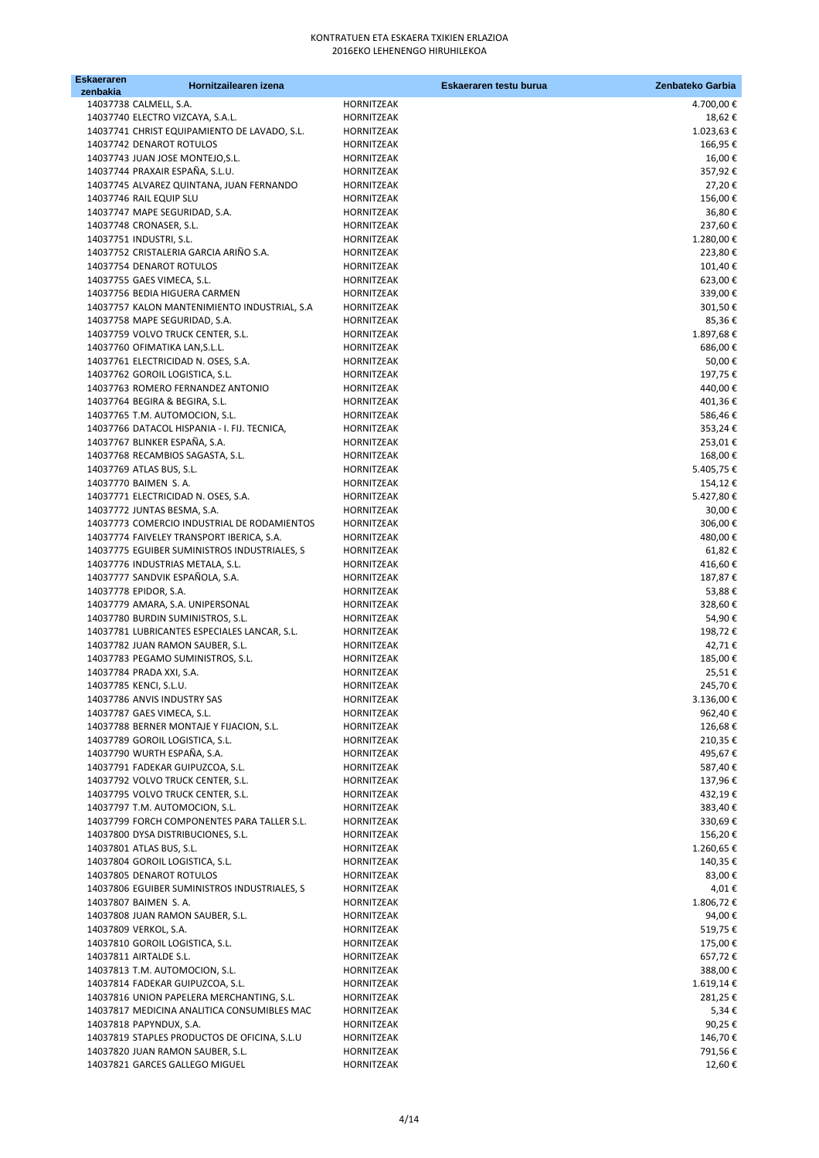| <b>Eskaeraren</b><br>zenbakia | Hornitzailearen izena                                                            |                                 | Eskaeraren testu burua | Zenbateko Garbia    |
|-------------------------------|----------------------------------------------------------------------------------|---------------------------------|------------------------|---------------------|
|                               | 14037738 CALMELL, S.A.                                                           | HORNITZEAK                      |                        | 4.700,00€           |
|                               | 14037740 ELECTRO VIZCAYA, S.A.L.                                                 | HORNITZEAK                      |                        | 18,62€              |
|                               | 14037741 CHRIST EQUIPAMIENTO DE LAVADO, S.L.                                     | HORNITZEAK                      |                        | 1.023,63€           |
|                               | 14037742 DENAROT ROTULOS                                                         | HORNITZEAK                      |                        | 166,95€             |
|                               | 14037743 JUAN JOSE MONTEJO, S.L.                                                 | HORNITZEAK                      |                        | 16,00€              |
|                               | 14037744 PRAXAIR ESPAÑA, S.L.U.                                                  | HORNITZEAK                      |                        | 357,92€             |
|                               | 14037745 ALVAREZ QUINTANA, JUAN FERNANDO<br>14037746 RAIL EQUIP SLU              | HORNITZEAK<br>HORNITZEAK        |                        | 27,20€<br>156,00€   |
|                               | 14037747 MAPE SEGURIDAD, S.A.                                                    | <b>HORNITZEAK</b>               |                        | 36,80€              |
|                               | 14037748 CRONASER, S.L.                                                          | <b>HORNITZEAK</b>               |                        | 237,60€             |
|                               | 14037751 INDUSTRI, S.L.                                                          | HORNITZEAK                      |                        | 1.280,00€           |
|                               | 14037752 CRISTALERIA GARCIA ARIÑO S.A.                                           | HORNITZEAK                      |                        | 223,80€             |
|                               | 14037754 DENAROT ROTULOS                                                         | HORNITZEAK                      |                        | 101,40€             |
|                               | 14037755 GAES VIMECA, S.L.                                                       | HORNITZEAK                      |                        | 623,00€             |
|                               | 14037756 BEDIA HIGUERA CARMEN                                                    | HORNITZEAK                      |                        | 339,00€             |
|                               | 14037757 KALON MANTENIMIENTO INDUSTRIAL, S.A.<br>14037758 MAPE SEGURIDAD, S.A.   | HORNITZEAK<br>HORNITZEAK        |                        | 301,50€<br>85,36€   |
|                               | 14037759 VOLVO TRUCK CENTER, S.L.                                                | HORNITZEAK                      |                        | 1.897,68€           |
|                               | 14037760 OFIMATIKA LAN, S.L.L.                                                   | HORNITZEAK                      |                        | 686,00€             |
|                               | 14037761 ELECTRICIDAD N. OSES, S.A.                                              | <b>HORNITZEAK</b>               |                        | 50,00€              |
|                               | 14037762 GOROIL LOGISTICA, S.L.                                                  | HORNITZEAK                      |                        | 197,75€             |
|                               | 14037763 ROMERO FERNANDEZ ANTONIO                                                | HORNITZEAK                      |                        | 440,00€             |
|                               | 14037764 BEGIRA & BEGIRA, S.L.                                                   | HORNITZEAK                      |                        | 401,36€             |
|                               | 14037765 T.M. AUTOMOCION, S.L.                                                   | HORNITZEAK                      |                        | 586,46€             |
|                               | 14037766 DATACOL HISPANIA - I. FIJ. TECNICA,<br>14037767 BLINKER ESPAÑA, S.A.    | <b>HORNITZEAK</b><br>HORNITZEAK |                        | 353,24€<br>253,01€  |
|                               | 14037768 RECAMBIOS SAGASTA, S.L.                                                 | HORNITZEAK                      |                        | 168,00€             |
|                               | 14037769 ATLAS BUS, S.L.                                                         | HORNITZEAK                      |                        | 5.405,75€           |
|                               | 14037770 BAIMEN S.A.                                                             | HORNITZEAK                      |                        | 154,12€             |
|                               | 14037771 ELECTRICIDAD N. OSES, S.A.                                              | HORNITZEAK                      |                        | 5.427,80€           |
|                               | 14037772 JUNTAS BESMA, S.A.                                                      | HORNITZEAK                      |                        | 30,00€              |
|                               | 14037773 COMERCIO INDUSTRIAL DE RODAMIENTOS                                      | HORNITZEAK                      |                        | 306,00€             |
|                               | 14037774 FAIVELEY TRANSPORT IBERICA, S.A.                                        | HORNITZEAK                      |                        | 480,00€             |
|                               | 14037775 EGUIBER SUMINISTROS INDUSTRIALES, S<br>14037776 INDUSTRIAS METALA, S.L. | HORNITZEAK<br>HORNITZEAK        |                        | 61,82€<br>416,60€   |
|                               | 14037777 SANDVIK ESPAÑOLA, S.A.                                                  | HORNITZEAK                      |                        | 187,87€             |
|                               | 14037778 EPIDOR, S.A.                                                            | HORNITZEAK                      |                        | 53,88€              |
|                               | 14037779 AMARA, S.A. UNIPERSONAL                                                 | HORNITZEAK                      |                        | 328,60€             |
|                               | 14037780 BURDIN SUMINISTROS, S.L.                                                | HORNITZEAK                      |                        | 54,90€              |
|                               | 14037781 LUBRICANTES ESPECIALES LANCAR, S.L.                                     | HORNITZEAK                      |                        | 198,72€             |
|                               | 14037782 JUAN RAMON SAUBER, S.L.                                                 | HORNITZEAK                      |                        | 42,71€              |
|                               | 14037783 PEGAMO SUMINISTROS, S.L.                                                | HORNITZEAK                      |                        | 185,00€             |
|                               | 14037784 PRADA XXI, S.A.<br>14037785 KENCI, S.L.U.                               | HORNITZEAK<br>HORNITZEAK        |                        | 25,51€<br>245,70€   |
|                               | 14037786 ANVIS INDUSTRY SAS                                                      | HORNITZEAK                      |                        | 3.136,00€           |
|                               | 14037787 GAES VIMECA, S.L.                                                       | HORNITZEAK                      |                        | 962,40€             |
|                               | 14037788 BERNER MONTAJE Y FIJACION, S.L.                                         | HORNITZEAK                      |                        | 126,68€             |
|                               | 14037789 GOROIL LOGISTICA, S.L.                                                  | HORNITZEAK                      |                        | 210,35€             |
|                               | 14037790 WURTH ESPAÑA, S.A.                                                      | HORNITZEAK                      |                        | 495,67€             |
|                               | 14037791 FADEKAR GUIPUZCOA, S.L.                                                 | HORNITZEAK                      |                        | 587,40€             |
|                               | 14037792 VOLVO TRUCK CENTER, S.L.<br>14037795 VOLVO TRUCK CENTER, S.L.           | HORNITZEAK                      |                        | 137,96€             |
|                               | 14037797 T.M. AUTOMOCION, S.L.                                                   | HORNITZEAK<br>HORNITZEAK        |                        | 432,19€<br>383,40€  |
|                               | 14037799 FORCH COMPONENTES PARA TALLER S.L.                                      | <b>HORNITZEAK</b>               |                        | 330,69€             |
|                               | 14037800 DYSA DISTRIBUCIONES, S.L.                                               | HORNITZEAK                      |                        | 156,20€             |
|                               | 14037801 ATLAS BUS, S.L.                                                         | HORNITZEAK                      |                        | 1.260,65€           |
|                               | 14037804 GOROIL LOGISTICA, S.L.                                                  | HORNITZEAK                      |                        | 140,35€             |
|                               | 14037805 DENAROT ROTULOS                                                         | HORNITZEAK                      |                        | 83,00€              |
|                               | 14037806 EGUIBER SUMINISTROS INDUSTRIALES, S                                     | HORNITZEAK                      |                        | 4,01€               |
|                               | 14037807 BAIMEN S.A.                                                             | HORNITZEAK                      |                        | 1.806,72€<br>94,00€ |
|                               | 14037808 JUAN RAMON SAUBER, S.L.<br>14037809 VERKOL, S.A.                        | HORNITZEAK<br>HORNITZEAK        |                        | 519,75€             |
|                               | 14037810 GOROIL LOGISTICA, S.L.                                                  | HORNITZEAK                      |                        | 175,00€             |
|                               | 14037811 AIRTALDE S.L.                                                           | HORNITZEAK                      |                        | 657,72€             |
|                               | 14037813 T.M. AUTOMOCION, S.L.                                                   | HORNITZEAK                      |                        | 388,00€             |
|                               | 14037814 FADEKAR GUIPUZCOA, S.L.                                                 | HORNITZEAK                      |                        | 1.619,14€           |
|                               | 14037816 UNION PAPELERA MERCHANTING, S.L.                                        | HORNITZEAK                      |                        | 281,25€             |
|                               | 14037817 MEDICINA ANALITICA CONSUMIBLES MAC                                      | HORNITZEAK                      |                        | 5,34€               |
|                               | 14037818 PAPYNDUX, S.A.                                                          | HORNITZEAK                      |                        | 90,25€<br>146,70€   |
|                               | 14037819 STAPLES PRODUCTOS DE OFICINA, S.L.U<br>14037820 JUAN RAMON SAUBER, S.L. | HORNITZEAK<br>HORNITZEAK        |                        | 791,56€             |
|                               | 14037821 GARCES GALLEGO MIGUEL                                                   | HORNITZEAK                      |                        | 12,60€              |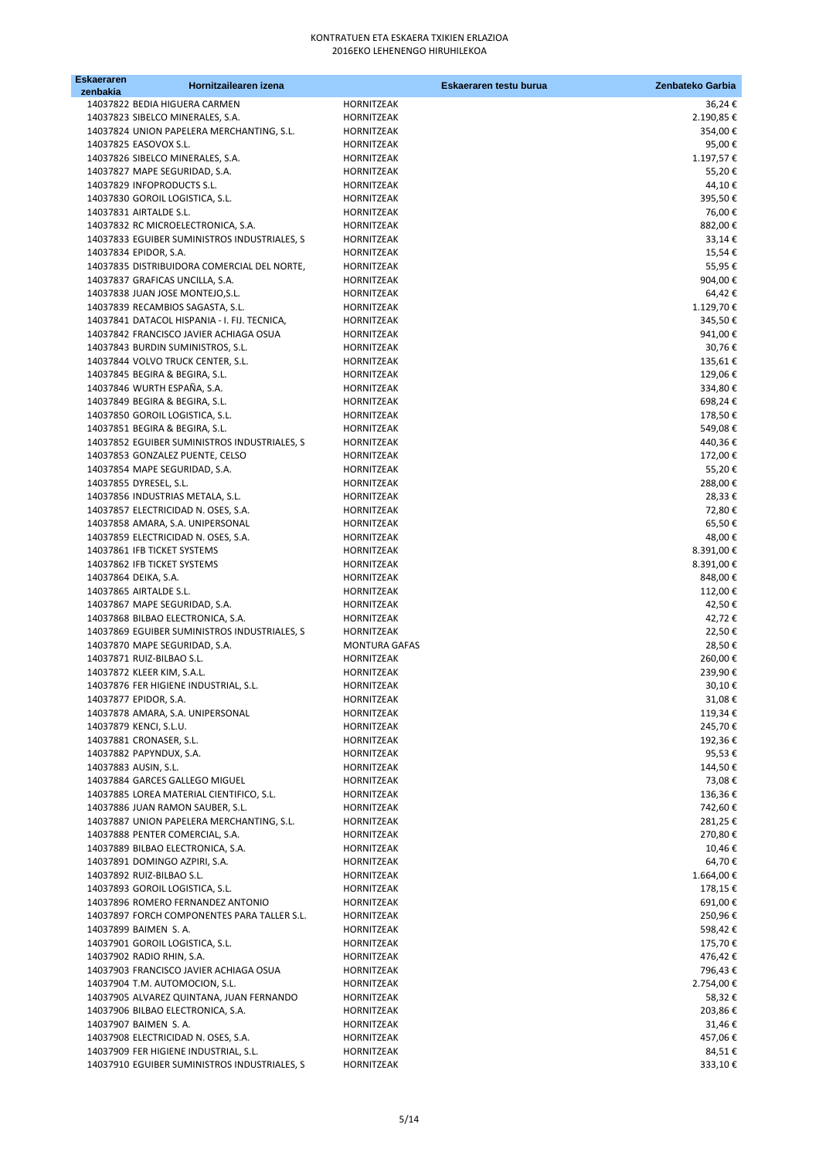| <b>Eskaeraren</b><br>zenbakia | Hornitzailearen izena                                                          |                          | Eskaeraren testu burua | Zenbateko Garbia   |
|-------------------------------|--------------------------------------------------------------------------------|--------------------------|------------------------|--------------------|
|                               | 14037822 BEDIA HIGUERA CARMEN                                                  | HORNITZEAK               |                        | 36,24€             |
|                               | 14037823 SIBELCO MINERALES, S.A.                                               | HORNITZEAK               |                        | 2.190,85€          |
|                               | 14037824 UNION PAPELERA MERCHANTING, S.L.                                      | HORNITZEAK               |                        | 354,00€            |
|                               | 14037825 EASOVOX S.L.                                                          | HORNITZEAK               |                        | 95,00€             |
|                               | 14037826 SIBELCO MINERALES, S.A.                                               | HORNITZEAK               |                        | 1.197,57€          |
|                               | 14037827 MAPE SEGURIDAD, S.A.<br>14037829 INFOPRODUCTS S.L.                    | HORNITZEAK<br>HORNITZEAK |                        | 55,20€<br>44,10€   |
|                               | 14037830 GOROIL LOGISTICA, S.L.                                                | HORNITZEAK               |                        | 395,50€            |
|                               | 14037831 AIRTALDE S.L.                                                         | HORNITZEAK               |                        | 76,00€             |
|                               | 14037832 RC MICROELECTRONICA, S.A.                                             | HORNITZEAK               |                        | 882,00€            |
|                               | 14037833 EGUIBER SUMINISTROS INDUSTRIALES, S                                   | HORNITZEAK               |                        | 33,14€             |
|                               | 14037834 EPIDOR, S.A.                                                          | HORNITZEAK               |                        | 15,54€             |
|                               | 14037835 DISTRIBUIDORA COMERCIAL DEL NORTE,<br>14037837 GRAFICAS UNCILLA, S.A. | HORNITZEAK<br>HORNITZEAK |                        | 55,95€<br>904,00€  |
|                               | 14037838 JUAN JOSE MONTEJO, S.L.                                               | HORNITZEAK               |                        | 64,42€             |
|                               | 14037839 RECAMBIOS SAGASTA, S.L.                                               | HORNITZEAK               |                        | 1.129,70€          |
|                               | 14037841 DATACOL HISPANIA - I. FIJ. TECNICA,                                   | HORNITZEAK               |                        | 345,50€            |
|                               | 14037842 FRANCISCO JAVIER ACHIAGA OSUA                                         | HORNITZEAK               |                        | 941,00€            |
|                               | 14037843 BURDIN SUMINISTROS, S.L.                                              | HORNITZEAK               |                        | 30,76€             |
|                               | 14037844 VOLVO TRUCK CENTER, S.L.                                              | HORNITZEAK               |                        | 135,61€            |
|                               | 14037845 BEGIRA & BEGIRA, S.L.<br>14037846 WURTH ESPAÑA, S.A.                  | HORNITZEAK<br>HORNITZEAK |                        | 129,06€<br>334,80€ |
|                               | 14037849 BEGIRA & BEGIRA, S.L.                                                 | HORNITZEAK               |                        | 698,24€            |
|                               | 14037850 GOROIL LOGISTICA, S.L.                                                | HORNITZEAK               |                        | 178,50€            |
|                               | 14037851 BEGIRA & BEGIRA, S.L.                                                 | HORNITZEAK               |                        | 549,08€            |
|                               | 14037852 EGUIBER SUMINISTROS INDUSTRIALES, S                                   | HORNITZEAK               |                        | 440,36€            |
|                               | 14037853 GONZALEZ PUENTE, CELSO                                                | HORNITZEAK               |                        | 172,00€            |
|                               | 14037854 MAPE SEGURIDAD, S.A.                                                  | HORNITZEAK               |                        | 55,20€             |
|                               | 14037855 DYRESEL, S.L.<br>14037856 INDUSTRIAS METALA, S.L.                     | HORNITZEAK<br>HORNITZEAK |                        | 288,00€<br>28,33 € |
|                               | 14037857 ELECTRICIDAD N. OSES, S.A.                                            | HORNITZEAK               |                        | 72,80€             |
|                               | 14037858 AMARA, S.A. UNIPERSONAL                                               | HORNITZEAK               |                        | 65,50€             |
|                               | 14037859 ELECTRICIDAD N. OSES, S.A.                                            | HORNITZEAK               |                        | 48,00€             |
|                               | 14037861 IFB TICKET SYSTEMS                                                    | HORNITZEAK               |                        | 8.391,00€          |
|                               | 14037862 IFB TICKET SYSTEMS                                                    | HORNITZEAK               |                        | 8.391,00€          |
|                               | 14037864 DEIKA, S.A.<br>14037865 AIRTALDE S.L.                                 | HORNITZEAK<br>HORNITZEAK |                        | 848,00€<br>112,00€ |
|                               | 14037867 MAPE SEGURIDAD, S.A.                                                  | HORNITZEAK               |                        | 42,50€             |
|                               | 14037868 BILBAO ELECTRONICA, S.A.                                              | HORNITZEAK               |                        | 42,72€             |
|                               | 14037869 EGUIBER SUMINISTROS INDUSTRIALES, S                                   | HORNITZEAK               |                        | 22,50€             |
|                               | 14037870 MAPE SEGURIDAD, S.A.                                                  | <b>MONTURA GAFAS</b>     |                        | 28,50€             |
|                               | 14037871 RUIZ-BILBAO S.L.                                                      | HORNITZEAK               |                        | 260,00€            |
|                               | 14037872 KLEER KIM, S.A.L.                                                     | <b>HORNITZEAK</b>        |                        | 239,90€            |
|                               | 14037876 FER HIGIENE INDUSTRIAL, S.L.<br>14037877 EPIDOR, S.A.                 | HORNITZEAK<br>HORNITZEAK |                        | 30,10€<br>31,08€   |
|                               | 14037878 AMARA, S.A. UNIPERSONAL                                               | HORNITZEAK               |                        | 119,34€            |
|                               | 14037879 KENCI, S.L.U.                                                         | HORNITZEAK               |                        | 245,70€            |
|                               | 14037881 CRONASER, S.L.                                                        | HORNITZEAK               |                        | 192,36€            |
|                               | 14037882 PAPYNDUX, S.A.                                                        | HORNITZEAK               |                        | 95,53€             |
|                               | 14037883 AUSIN, S.L.                                                           | HORNITZEAK               |                        | 144,50€            |
|                               | 14037884 GARCES GALLEGO MIGUEL<br>14037885 LOREA MATERIAL CIENTIFICO, S.L.     | HORNITZEAK<br>HORNITZEAK |                        | 73,08€<br>136,36€  |
|                               | 14037886 JUAN RAMON SAUBER, S.L.                                               | HORNITZEAK               |                        | 742,60€            |
|                               | 14037887 UNION PAPELERA MERCHANTING, S.L.                                      | HORNITZEAK               |                        | 281,25€            |
|                               | 14037888 PENTER COMERCIAL, S.A.                                                | HORNITZEAK               |                        | 270,80€            |
|                               | 14037889 BILBAO ELECTRONICA, S.A.                                              | HORNITZEAK               |                        | 10,46€             |
|                               | 14037891 DOMINGO AZPIRI, S.A.                                                  | HORNITZEAK               |                        | 64,70€             |
|                               | 14037892 RUIZ-BILBAO S.L.                                                      | HORNITZEAK               |                        | 1.664,00€          |
|                               | 14037893 GOROIL LOGISTICA, S.L.<br>14037896 ROMERO FERNANDEZ ANTONIO           | HORNITZEAK<br>HORNITZEAK |                        | 178,15€<br>691,00€ |
|                               | 14037897 FORCH COMPONENTES PARA TALLER S.L.                                    | HORNITZEAK               |                        | 250,96€            |
|                               | 14037899 BAIMEN S.A.                                                           | HORNITZEAK               |                        | 598,42€            |
|                               | 14037901 GOROIL LOGISTICA, S.L.                                                | HORNITZEAK               |                        | 175,70€            |
|                               | 14037902 RADIO RHIN, S.A.                                                      | HORNITZEAK               |                        | 476,42€            |
|                               | 14037903 FRANCISCO JAVIER ACHIAGA OSUA                                         | HORNITZEAK               |                        | 796,43€            |
|                               | 14037904 T.M. AUTOMOCION, S.L.                                                 | HORNITZEAK               |                        | 2.754,00€          |
|                               | 14037905 ALVAREZ QUINTANA, JUAN FERNANDO<br>14037906 BILBAO ELECTRONICA, S.A.  | HORNITZEAK<br>HORNITZEAK |                        | 58,32€<br>203,86€  |
|                               | 14037907 BAIMEN S.A.                                                           | HORNITZEAK               |                        | 31,46€             |
|                               | 14037908 ELECTRICIDAD N. OSES, S.A.                                            | HORNITZEAK               |                        | 457,06€            |
|                               | 14037909 FER HIGIENE INDUSTRIAL, S.L.                                          | HORNITZEAK               |                        | 84,51€             |
|                               | 14037910 EGUIBER SUMINISTROS INDUSTRIALES, S                                   | HORNITZEAK               |                        | 333,10€            |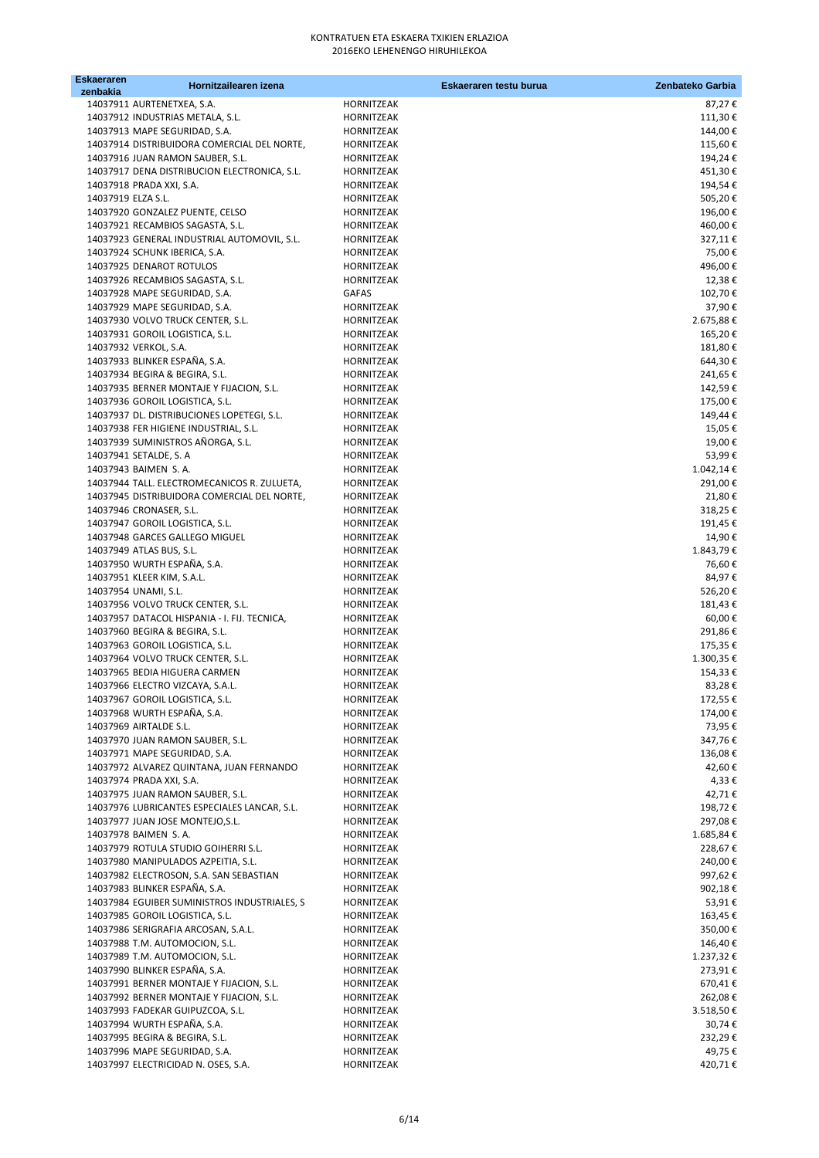| Eskaeraren<br>zenbakia | Hornitzailearen izena                                                            |                                 | Eskaeraren testu burua | Zenbateko Garbia      |
|------------------------|----------------------------------------------------------------------------------|---------------------------------|------------------------|-----------------------|
|                        | 14037911 AURTENETXEA, S.A.                                                       | <b>HORNITZEAK</b>               |                        | 87,27€                |
|                        | 14037912 INDUSTRIAS METALA, S.L.                                                 | HORNITZEAK                      |                        | 111,30€               |
|                        | 14037913 MAPE SEGURIDAD, S.A.                                                    | HORNITZEAK                      |                        | 144,00€               |
|                        | 14037914 DISTRIBUIDORA COMERCIAL DEL NORTE,                                      | HORNITZEAK                      |                        | 115,60€               |
|                        | 14037916 JUAN RAMON SAUBER, S.L.                                                 | HORNITZEAK                      |                        | 194,24€               |
|                        | 14037917 DENA DISTRIBUCION ELECTRONICA, S.L.                                     | HORNITZEAK                      |                        | 451,30€               |
|                        | 14037918 PRADA XXI, S.A.                                                         | HORNITZEAK                      |                        | 194,54€               |
| 14037919 ELZA S.L.     |                                                                                  | HORNITZEAK                      |                        | 505,20€               |
|                        | 14037920 GONZALEZ PUENTE, CELSO<br>14037921 RECAMBIOS SAGASTA, S.L.              | HORNITZEAK<br>HORNITZEAK        |                        | 196,00€<br>460,00€    |
|                        | 14037923 GENERAL INDUSTRIAL AUTOMOVIL, S.L.                                      | HORNITZEAK                      |                        | 327,11€               |
|                        | 14037924 SCHUNK IBERICA, S.A.                                                    | <b>HORNITZEAK</b>               |                        | 75,00€                |
|                        | 14037925 DENAROT ROTULOS                                                         | HORNITZEAK                      |                        | 496,00€               |
|                        | 14037926 RECAMBIOS SAGASTA, S.L.                                                 | HORNITZEAK                      |                        | 12,38€                |
|                        | 14037928 MAPE SEGURIDAD, S.A.                                                    | GAFAS                           |                        | 102,70€               |
|                        | 14037929 MAPE SEGURIDAD, S.A.                                                    | HORNITZEAK                      |                        | 37,90€                |
|                        | 14037930 VOLVO TRUCK CENTER, S.L.                                                | HORNITZEAK                      |                        | 2.675,88€             |
|                        | 14037931 GOROIL LOGISTICA, S.L.                                                  | HORNITZEAK                      |                        | 165,20€               |
| 14037932 VERKOL, S.A.  | 14037933 BLINKER ESPAÑA, S.A.                                                    | HORNITZEAK<br>HORNITZEAK        |                        | 181,80€<br>644,30€    |
|                        | 14037934 BEGIRA & BEGIRA, S.L.                                                   | HORNITZEAK                      |                        | 241,65€               |
|                        | 14037935 BERNER MONTAJE Y FIJACION, S.L.                                         | HORNITZEAK                      |                        | 142,59€               |
|                        | 14037936 GOROIL LOGISTICA, S.L.                                                  | HORNITZEAK                      |                        | 175,00€               |
|                        | 14037937 DL. DISTRIBUCIONES LOPETEGI, S.L.                                       | HORNITZEAK                      |                        | 149,44€               |
|                        | 14037938 FER HIGIENE INDUSTRIAL, S.L.                                            | HORNITZEAK                      |                        | 15,05€                |
|                        | 14037939 SUMINISTROS AÑORGA, S.L.                                                | HORNITZEAK                      |                        | 19,00€                |
| 14037941 SETALDE, S. A |                                                                                  | HORNITZEAK                      |                        | 53,99€                |
| 14037943 BAIMEN S.A.   |                                                                                  | HORNITZEAK                      |                        | 1.042,14 €            |
|                        | 14037944 TALL. ELECTROMECANICOS R. ZULUETA,                                      | HORNITZEAK                      |                        | 291,00€               |
|                        | 14037945 DISTRIBUIDORA COMERCIAL DEL NORTE,                                      | HORNITZEAK                      |                        | 21,80€                |
|                        | 14037946 CRONASER, S.L.<br>14037947 GOROIL LOGISTICA, S.L.                       | HORNITZEAK<br>HORNITZEAK        |                        | 318,25€<br>191,45€    |
|                        | 14037948 GARCES GALLEGO MIGUEL                                                   | HORNITZEAK                      |                        | 14,90€                |
|                        | 14037949 ATLAS BUS, S.L.                                                         | HORNITZEAK                      |                        | 1.843,79€             |
|                        | 14037950 WURTH ESPAÑA, S.A.                                                      | HORNITZEAK                      |                        | 76,60€                |
|                        | 14037951 KLEER KIM, S.A.L.                                                       | HORNITZEAK                      |                        | 84,97€                |
| 14037954 UNAMI, S.L.   |                                                                                  | HORNITZEAK                      |                        | 526,20€               |
|                        | 14037956 VOLVO TRUCK CENTER, S.L.                                                | HORNITZEAK                      |                        | 181,43€               |
|                        | 14037957 DATACOL HISPANIA - I. FIJ. TECNICA,                                     | HORNITZEAK                      |                        | 60,00€                |
|                        | 14037960 BEGIRA & BEGIRA, S.L.                                                   | HORNITZEAK                      |                        | 291,86€               |
|                        | 14037963 GOROIL LOGISTICA, S.L.                                                  | <b>HORNITZEAK</b>               |                        | 175,35€               |
|                        | 14037964 VOLVO TRUCK CENTER, S.L.<br>14037965 BEDIA HIGUERA CARMEN               | <b>HORNITZEAK</b><br>HORNITZEAK |                        | 1.300,35 €<br>154,33€ |
|                        | 14037966 ELECTRO VIZCAYA, S.A.L.                                                 | HORNITZEAK                      |                        | 83,28€                |
|                        | 14037967 GOROIL LOGISTICA, S.L.                                                  | HORNITZEAK                      |                        | 172,55€               |
|                        | 14037968 WURTH ESPAÑA, S.A.                                                      | HORNITZEAK                      |                        | 174,00€               |
| 14037969 AIRTALDE S.L. |                                                                                  | HORNITZEAK                      |                        | 73,95€                |
|                        | 14037970 JUAN RAMON SAUBER, S.L.                                                 | HORNITZEAK                      |                        | 347,76€               |
|                        | 14037971 MAPE SEGURIDAD, S.A.                                                    | HORNITZEAK                      |                        | 136,08€               |
|                        | 14037972 ALVAREZ QUINTANA, JUAN FERNANDO                                         | HORNITZEAK                      |                        | 42,60€                |
|                        | 14037974 PRADA XXI, S.A.                                                         | HORNITZEAK                      |                        | 4,33 €                |
|                        | 14037975 JUAN RAMON SAUBER, S.L.                                                 | HORNITZEAK                      |                        | 42,71€                |
|                        | 14037976 LUBRICANTES ESPECIALES LANCAR, S.L.<br>14037977 JUAN JOSE MONTEJO, S.L. | HORNITZEAK<br>HORNITZEAK        |                        | 198,72€<br>297,08€    |
| 14037978 BAIMEN S.A.   |                                                                                  | HORNITZEAK                      |                        | 1.685,84€             |
|                        | 14037979 ROTULA STUDIO GOIHERRI S.L.                                             | HORNITZEAK                      |                        | 228,67€               |
|                        | 14037980 MANIPULADOS AZPEITIA, S.L.                                              | HORNITZEAK                      |                        | 240,00€               |
|                        | 14037982 ELECTROSON, S.A. SAN SEBASTIAN                                          | HORNITZEAK                      |                        | 997,62€               |
|                        | 14037983 BLINKER ESPAÑA, S.A.                                                    | HORNITZEAK                      |                        | 902,18€               |
|                        | 14037984 EGUIBER SUMINISTROS INDUSTRIALES, S                                     | HORNITZEAK                      |                        | 53,91€                |
|                        | 14037985 GOROIL LOGISTICA, S.L.                                                  | HORNITZEAK                      |                        | 163,45€               |
|                        | 14037986 SERIGRAFIA ARCOSAN, S.A.L.                                              | HORNITZEAK                      |                        | 350,00€               |
|                        | 14037988 T.M. AUTOMOCION, S.L.                                                   | HORNITZEAK                      |                        | 146,40€               |
|                        | 14037989 T.M. AUTOMOCION, S.L.<br>14037990 BLINKER ESPAÑA, S.A.                  | HORNITZEAK<br>HORNITZEAK        |                        | 1.237,32 €<br>273,91€ |
|                        | 14037991 BERNER MONTAJE Y FIJACION, S.L.                                         | HORNITZEAK                      |                        | 670,41€               |
|                        | 14037992 BERNER MONTAJE Y FIJACION, S.L.                                         | HORNITZEAK                      |                        | 262,08€               |
|                        | 14037993 FADEKAR GUIPUZCOA, S.L.                                                 | HORNITZEAK                      |                        | 3.518,50€             |
|                        | 14037994 WURTH ESPAÑA, S.A.                                                      | HORNITZEAK                      |                        | 30,74€                |
|                        | 14037995 BEGIRA & BEGIRA, S.L.                                                   | HORNITZEAK                      |                        | 232,29€               |
|                        | 14037996 MAPE SEGURIDAD, S.A.                                                    | HORNITZEAK                      |                        | 49,75€                |
|                        | 14037997 ELECTRICIDAD N. OSES, S.A.                                              | HORNITZEAK                      |                        | 420,71€               |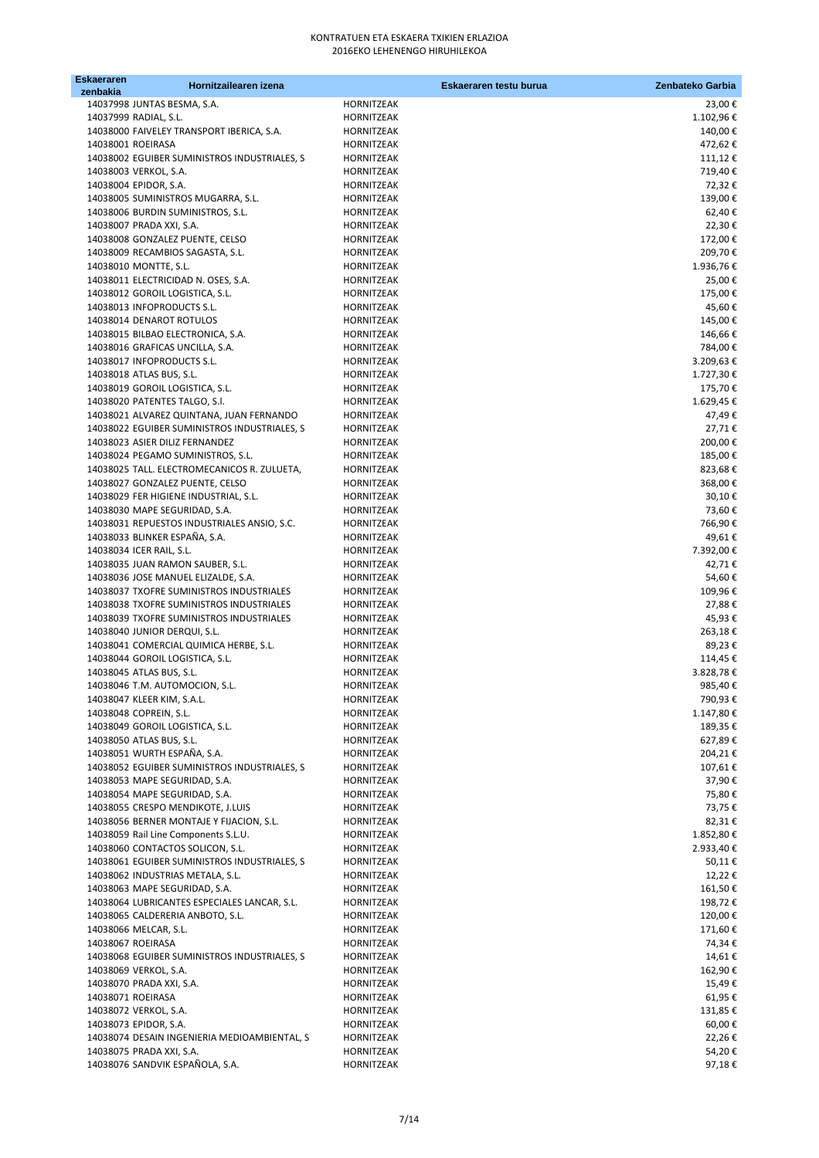| Eskaeraren                 | Hornitzailearen izena                                                        |                          | Eskaeraren testu burua | Zenbateko Garbia     |
|----------------------------|------------------------------------------------------------------------------|--------------------------|------------------------|----------------------|
| zenbakia                   | 14037998 JUNTAS BESMA, S.A.                                                  | HORNITZEAK               |                        | 23,00€               |
| 14037999 RADIAL, S.L.      |                                                                              | HORNITZEAK               |                        | 1.102,96€            |
|                            | 14038000 FAIVELEY TRANSPORT IBERICA, S.A.                                    | HORNITZEAK               |                        | 140,00€              |
| 14038001 ROEIRASA          |                                                                              | HORNITZEAK               |                        | 472,62€              |
|                            | 14038002 EGUIBER SUMINISTROS INDUSTRIALES, S                                 | HORNITZEAK               |                        | 111,12€              |
| 14038003 VERKOL, S.A.      |                                                                              | HORNITZEAK               |                        | 719,40€              |
| 14038004 EPIDOR, S.A.      |                                                                              | HORNITZEAK               |                        | 72,32€               |
|                            | 14038005 SUMINISTROS MUGARRA, S.L.<br>14038006 BURDIN SUMINISTROS, S.L.      | HORNITZEAK               |                        | 139,00€              |
| 14038007 PRADA XXI, S.A.   |                                                                              | HORNITZEAK<br>HORNITZEAK |                        | 62,40€<br>22,30€     |
|                            | 14038008 GONZALEZ PUENTE, CELSO                                              | HORNITZEAK               |                        | 172,00€              |
|                            | 14038009 RECAMBIOS SAGASTA, S.L.                                             | HORNITZEAK               |                        | 209,70€              |
| 14038010 MONTTE, S.L.      |                                                                              | HORNITZEAK               |                        | 1.936,76€            |
|                            | 14038011 ELECTRICIDAD N. OSES, S.A.                                          | HORNITZEAK               |                        | 25,00€               |
|                            | 14038012 GOROIL LOGISTICA, S.L.                                              | HORNITZEAK               |                        | 175,00€              |
|                            | 14038013 INFOPRODUCTS S.L.                                                   | HORNITZEAK               |                        | 45,60€               |
|                            | 14038014 DENAROT ROTULOS                                                     | HORNITZEAK               |                        | 145,00€              |
|                            | 14038015 BILBAO ELECTRONICA, S.A.                                            | HORNITZEAK               |                        | 146,66€              |
|                            | 14038016 GRAFICAS UNCILLA, S.A.<br>14038017 INFOPRODUCTS S.L.                | HORNITZEAK<br>HORNITZEAK |                        | 784,00€<br>3.209,63€ |
| 14038018 ATLAS BUS, S.L.   |                                                                              | HORNITZEAK               |                        | 1.727,30€            |
|                            | 14038019 GOROIL LOGISTICA, S.L.                                              | HORNITZEAK               |                        | 175,70€              |
|                            | 14038020 PATENTES TALGO, S.I.                                                | HORNITZEAK               |                        | 1.629,45€            |
|                            | 14038021 ALVAREZ QUINTANA, JUAN FERNANDO                                     | HORNITZEAK               |                        | 47,49€               |
|                            | 14038022 EGUIBER SUMINISTROS INDUSTRIALES, S                                 | HORNITZEAK               |                        | 27,71€               |
|                            | 14038023 ASIER DILIZ FERNANDEZ                                               | HORNITZEAK               |                        | 200,00€              |
|                            | 14038024 PEGAMO SUMINISTROS, S.L.                                            | HORNITZEAK               |                        | 185,00€              |
|                            | 14038025 TALL. ELECTROMECANICOS R. ZULUETA,                                  | <b>HORNITZEAK</b>        |                        | 823,68€              |
|                            | 14038027 GONZALEZ PUENTE, CELSO                                              | HORNITZEAK               |                        | 368,00€              |
|                            | 14038029 FER HIGIENE INDUSTRIAL, S.L.                                        | HORNITZEAK               |                        | 30,10€               |
|                            | 14038030 MAPE SEGURIDAD, S.A.<br>14038031 REPUESTOS INDUSTRIALES ANSIO, S.C. | HORNITZEAK<br>HORNITZEAK |                        | 73,60€<br>766,90€    |
|                            | 14038033 BLINKER ESPAÑA, S.A.                                                | HORNITZEAK               |                        | 49,61€               |
| 14038034 ICER RAIL, S.L.   |                                                                              | HORNITZEAK               |                        | 7.392,00€            |
|                            | 14038035 JUAN RAMON SAUBER, S.L.                                             | HORNITZEAK               |                        | 42,71€               |
|                            | 14038036 JOSE MANUEL ELIZALDE, S.A.                                          | HORNITZEAK               |                        | 54,60€               |
|                            | 14038037 TXOFRE SUMINISTROS INDUSTRIALES                                     | HORNITZEAK               |                        | 109,96€              |
|                            | 14038038 TXOFRE SUMINISTROS INDUSTRIALES                                     | HORNITZEAK               |                        | 27,88€               |
|                            | 14038039 TXOFRE SUMINISTROS INDUSTRIALES                                     | HORNITZEAK               |                        | 45,93€               |
|                            | 14038040 JUNIOR DERQUI, S.L.                                                 | HORNITZEAK               |                        | 263,18€              |
|                            | 14038041 COMERCIAL QUIMICA HERBE, S.L.                                       | HORNITZEAK               |                        | 89,23€               |
| 14038045 ATLAS BUS, S.L.   | 14038044 GOROIL LOGISTICA, S.L.                                              | HORNITZEAK<br>HORNITZEAK |                        | 114,45€<br>3.828,78€ |
|                            | 14038046 T.M. AUTOMOCION, S.L.                                               | HORNITZEAK               |                        | 985,40€              |
| 14038047 KLEER KIM, S.A.L. |                                                                              | HORNITZEAK               |                        | 790,93€              |
| 14038048 COPREIN, S.L.     |                                                                              | HORNITZEAK               |                        | 1.147,80€            |
|                            | 14038049 GOROIL LOGISTICA, S.L.                                              | HORNITZEAK               |                        | 189,35€              |
| 14038050 ATLAS BUS, S.L.   |                                                                              | HORNITZEAK               |                        | 627,89€              |
|                            | 14038051 WURTH ESPAÑA, S.A.                                                  | HORNITZEAK               |                        | 204,21€              |
|                            | 14038052 EGUIBER SUMINISTROS INDUSTRIALES, S                                 | HORNITZEAK               |                        | 107,61€              |
|                            | 14038053 MAPE SEGURIDAD, S.A.                                                | HORNITZEAK               |                        | 37,90€               |
|                            | 14038054 MAPE SEGURIDAD, S.A.<br>14038055 CRESPO MENDIKOTE, J.LUIS           | HORNITZEAK<br>HORNITZEAK |                        | 75,80€<br>73,75€     |
|                            | 14038056 BERNER MONTAJE Y FIJACION, S.L.                                     | HORNITZEAK               |                        | 82,31€               |
|                            | 14038059 Rail Line Components S.L.U.                                         | HORNITZEAK               |                        | 1.852,80€            |
|                            | 14038060 CONTACTOS SOLICON, S.L.                                             | HORNITZEAK               |                        | 2.933,40€            |
|                            | 14038061 EGUIBER SUMINISTROS INDUSTRIALES, S                                 | HORNITZEAK               |                        | 50,11€               |
|                            | 14038062 INDUSTRIAS METALA, S.L.                                             | HORNITZEAK               |                        | 12,22€               |
|                            | 14038063 MAPE SEGURIDAD, S.A.                                                | HORNITZEAK               |                        | 161,50€              |
|                            | 14038064 LUBRICANTES ESPECIALES LANCAR, S.L.                                 | HORNITZEAK               |                        | 198,72€              |
|                            | 14038065 CALDERERIA ANBOTO, S.L.                                             | HORNITZEAK               |                        | 120,00€              |
| 14038066 MELCAR, S.L.      |                                                                              | HORNITZEAK               |                        | 171,60€              |
| 14038067 ROEIRASA          | 14038068 EGUIBER SUMINISTROS INDUSTRIALES, S                                 | HORNITZEAK<br>HORNITZEAK |                        | 74,34€<br>14,61€     |
| 14038069 VERKOL, S.A.      |                                                                              | HORNITZEAK               |                        | 162,90€              |
| 14038070 PRADA XXI, S.A.   |                                                                              | HORNITZEAK               |                        | 15,49€               |
| 14038071 ROEIRASA          |                                                                              | HORNITZEAK               |                        | 61,95€               |
| 14038072 VERKOL, S.A.      |                                                                              | HORNITZEAK               |                        | 131,85€              |
| 14038073 EPIDOR, S.A.      |                                                                              | HORNITZEAK               |                        | 60,00€               |
|                            | 14038074 DESAIN INGENIERIA MEDIOAMBIENTAL, S                                 | HORNITZEAK               |                        | 22,26€               |
| 14038075 PRADA XXI, S.A.   |                                                                              | HORNITZEAK               |                        | 54,20€               |
|                            | 14038076 SANDVIK ESPAÑOLA, S.A.                                              | HORNITZEAK               |                        | 97,18€               |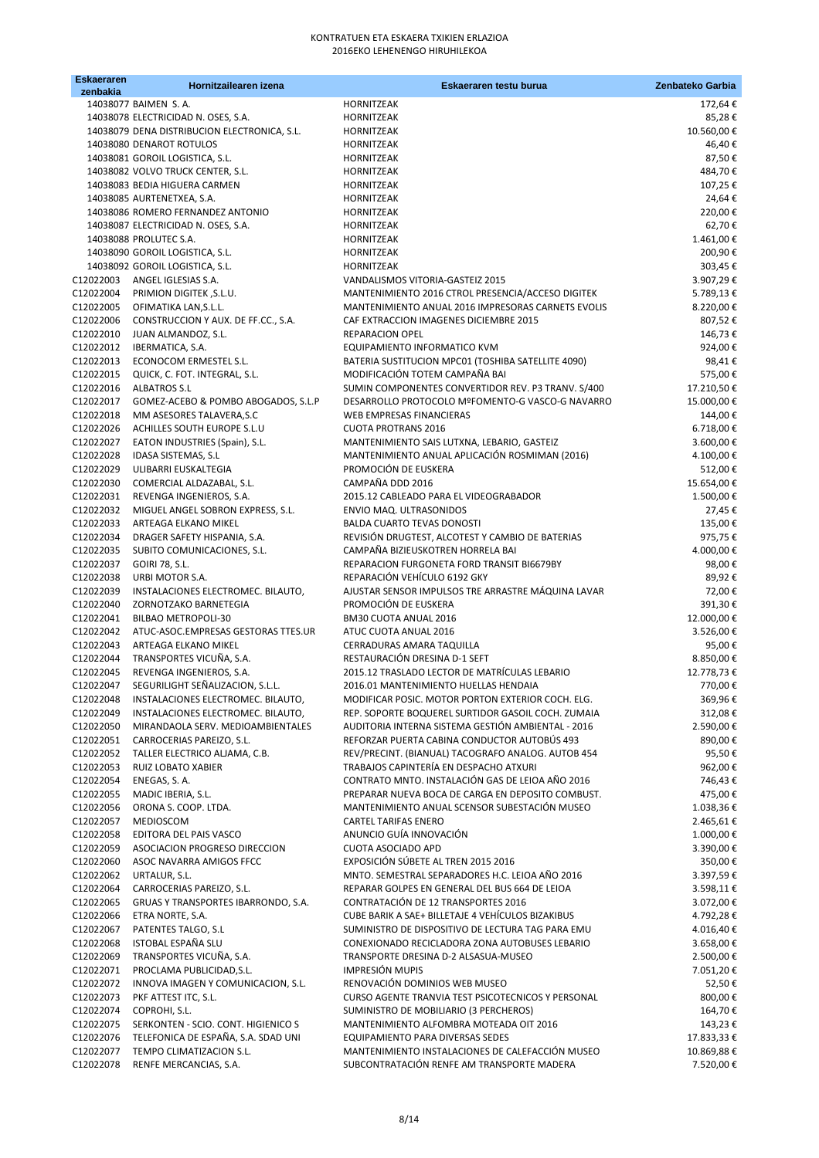| <b>Eskaeraren</b><br>zenbakia | Hornitzailearen izena                                           | Eskaeraren testu burua                                                                             | Zenbateko Garbia      |
|-------------------------------|-----------------------------------------------------------------|----------------------------------------------------------------------------------------------------|-----------------------|
|                               | 14038077 BAIMEN S.A.                                            | <b>HORNITZEAK</b>                                                                                  | 172,64€               |
|                               | 14038078 ELECTRICIDAD N. OSES, S.A.                             | HORNITZEAK                                                                                         | 85,28€                |
|                               | 14038079 DENA DISTRIBUCION ELECTRONICA, S.L.                    | HORNITZEAK                                                                                         | 10.560,00€            |
|                               | 14038080 DENAROT ROTULOS                                        | HORNITZEAK                                                                                         | 46,40€                |
|                               | 14038081 GOROIL LOGISTICA, S.L.                                 | HORNITZEAK                                                                                         | 87,50€                |
|                               | 14038082 VOLVO TRUCK CENTER, S.L.                               | <b>HORNITZEAK</b>                                                                                  | 484,70€               |
|                               | 14038083 BEDIA HIGUERA CARMEN                                   | HORNITZEAK                                                                                         | 107,25€               |
|                               | 14038085 AURTENETXEA, S.A.<br>14038086 ROMERO FERNANDEZ ANTONIO | HORNITZEAK<br>HORNITZEAK                                                                           | 24,64€<br>220,00€     |
|                               | 14038087 ELECTRICIDAD N. OSES, S.A.                             | HORNITZEAK                                                                                         | 62,70€                |
|                               | 14038088 PROLUTEC S.A.                                          | <b>HORNITZEAK</b>                                                                                  | 1.461,00€             |
|                               | 14038090 GOROIL LOGISTICA, S.L.                                 | HORNITZEAK                                                                                         | 200,90€               |
|                               | 14038092 GOROIL LOGISTICA, S.L.                                 | HORNITZEAK                                                                                         | 303,45€               |
| C12022003                     | ANGEL IGLESIAS S.A.                                             | VANDALISMOS VITORIA-GASTEIZ 2015                                                                   | 3.907,29€             |
| C12022004                     | PRIMION DIGITEK, S.L.U.                                         | MANTENIMIENTO 2016 CTROL PRESENCIA/ACCESO DIGITEK                                                  | 5.789,13€             |
| C12022005                     | OFIMATIKA LAN, S.L.L.                                           | MANTENIMIENTO ANUAL 2016 IMPRESORAS CARNETS EVOLIS                                                 | 8.220,00€             |
| C12022006                     | CONSTRUCCION Y AUX. DE FF.CC., S.A.                             | CAF EXTRACCION IMAGENES DICIEMBRE 2015                                                             | 807,52€               |
| C12022010<br>C12022012        | JUAN ALMANDOZ, S.L.<br>IBERMATICA, S.A.                         | REPARACION OPEL<br>EQUIPAMIENTO INFORMATICO KVM                                                    | 146,73€<br>924,00€    |
| C12022013                     | ECONOCOM ERMESTEL S.L.                                          | BATERIA SUSTITUCION MPC01 (TOSHIBA SATELLITE 4090)                                                 | 98,41€                |
| C12022015                     | QUICK, C. FOT. INTEGRAL, S.L.                                   | MODIFICACIÓN TOTEM CAMPAÑA BAI                                                                     | 575,00€               |
| C12022016                     | <b>ALBATROS S.L</b>                                             | SUMIN COMPONENTES CONVERTIDOR REV. P3 TRANV. S/400                                                 | 17.210,50€            |
| C12022017                     | GOMEZ-ACEBO & POMBO ABOGADOS, S.L.P                             | DESARROLLO PROTOCOLO MºFOMENTO-G VASCO-G NAVARRO                                                   | 15.000,00€            |
| C12022018                     | MM ASESORES TALAVERA, S.C.                                      | WEB EMPRESAS FINANCIERAS                                                                           | 144,00€               |
| C12022026                     | ACHILLES SOUTH EUROPE S.L.U                                     | <b>CUOTA PROTRANS 2016</b>                                                                         | 6.718,00€             |
| C12022027                     | EATON INDUSTRIES (Spain), S.L.                                  | MANTENIMIENTO SAIS LUTXNA, LEBARIO, GASTEIZ                                                        | 3.600,00€             |
| C12022028                     | <b>IDASA SISTEMAS, S.L</b>                                      | MANTENIMIENTO ANUAL APLICACIÓN ROSMIMAN (2016)<br>PROMOCIÓN DE EUSKERA                             | 4.100,00€             |
| C12022029<br>C12022030        | ULIBARRI EUSKALTEGIA<br>COMERCIAL ALDAZABAL, S.L.               | CAMPAÑA DDD 2016                                                                                   | 512,00€<br>15.654,00€ |
| C12022031                     | REVENGA INGENIEROS, S.A.                                        | 2015.12 CABLEADO PARA EL VIDEOGRABADOR                                                             | 1.500,00€             |
| C12022032                     | MIGUEL ANGEL SOBRON EXPRESS, S.L.                               | ENVIO MAQ. ULTRASONIDOS                                                                            | 27,45€                |
| C12022033                     | ARTEAGA ELKANO MIKEL                                            | BALDA CUARTO TEVAS DONOSTI                                                                         | 135,00€               |
| C12022034                     | DRAGER SAFETY HISPANIA, S.A.                                    | REVISIÓN DRUGTEST, ALCOTEST Y CAMBIO DE BATERIAS                                                   | 975,75€               |
| C12022035                     | SUBITO COMUNICACIONES, S.L.                                     | CAMPAÑA BIZIEUSKOTREN HORRELA BAI                                                                  | 4.000,00€             |
| C12022037                     | GOIRI 78, S.L.                                                  | REPARACION FURGONETA FORD TRANSIT BI6679BY                                                         | 98,00€                |
| C12022038                     | URBI MOTOR S.A.                                                 | REPARACIÓN VEHÍCULO 6192 GKY                                                                       | 89,92€                |
| C12022039                     | INSTALACIONES ELECTROMEC. BILAUTO,                              | AJUSTAR SENSOR IMPULSOS TRE ARRASTRE MÁQUINA LAVAR<br>PROMOCIÓN DE EUSKERA                         | 72,00€                |
| C12022040<br>C12022041        | ZORNOTZAKO BARNETEGIA<br>BILBAO METROPOLI-30                    | BM30 CUOTA ANUAL 2016                                                                              | 391,30€<br>12.000,00€ |
| C12022042                     | ATUC-ASOC.EMPRESAS GESTORAS TTES.UR                             | ATUC CUOTA ANUAL 2016                                                                              | 3.526,00€             |
| C12022043                     | ARTEAGA ELKANO MIKEL                                            | CERRADURAS AMARA TAQUILLA                                                                          | 95,00€                |
| C12022044                     | TRANSPORTES VICUÑA, S.A.                                        | RESTAURACIÓN DRESINA D-1 SEFT                                                                      | 8.850,00€             |
| C12022045                     | REVENGA INGENIEROS, S.A.                                        | 2015.12 TRASLADO LECTOR DE MATRÍCULAS LEBARIO                                                      | 12.778,73€            |
| C12022047                     | SEGURILIGHT SEÑALIZACION, S.L.L.                                | 2016.01 MANTENIMIENTO HUELLAS HENDAIA                                                              | 770,00€               |
| C12022048                     | INSTALACIONES ELECTROMEC. BILAUTO,                              | MODIFICAR POSIC. MOTOR PORTON EXTERIOR COCH. ELG.                                                  | 369,96€               |
| C12022049                     | INSTALACIONES ELECTROMEC. BILAUTO,                              | REP. SOPORTE BOQUEREL SURTIDOR GASOIL COCH. ZUMAIA                                                 | 312,08€               |
| C12022050<br>C12022051        | MIRANDAOLA SERV. MEDIOAMBIENTALES<br>CARROCERIAS PAREIZO, S.L.  | AUDITORIA INTERNA SISTEMA GESTIÓN AMBIENTAL - 2016<br>REFORZAR PUERTA CABINA CONDUCTOR AUTOBÚS 493 | 2.590,00€<br>890,00€  |
| C12022052                     | TALLER ELECTRICO ALJAMA, C.B.                                   | REV/PRECINT. (BIANUAL) TACOGRAFO ANALOG. AUTOB 454                                                 | 95,50€                |
| C12022053                     | RUIZ LOBATO XABIER                                              | TRABAJOS CAPINTERÍA EN DESPACHO ATXURI                                                             | 962,00€               |
| C12022054                     | ENEGAS, S.A.                                                    | CONTRATO MNTO. INSTALACIÓN GAS DE LEIOA AÑO 2016                                                   | 746,43€               |
| C12022055                     | MADIC IBERIA, S.L.                                              | PREPARAR NUEVA BOCA DE CARGA EN DEPOSITO COMBUST.                                                  | 475,00€               |
| C12022056                     | ORONA S. COOP. LTDA.                                            | MANTENIMIENTO ANUAL SCENSOR SUBESTACIÓN MUSEO                                                      | 1.038,36€             |
| C12022057                     | MEDIOSCOM                                                       | <b>CARTEL TARIFAS ENERO</b>                                                                        | 2.465,61€             |
| C12022058                     | EDITORA DEL PAIS VASCO                                          | ANUNCIO GUÍA INNOVACIÓN                                                                            | 1.000,00€             |
| C12022059                     | ASOCIACION PROGRESO DIRECCION<br>ASOC NAVARRA AMIGOS FFCC       | <b>CUOTA ASOCIADO APD</b><br>EXPOSICIÓN SÚBETE AL TREN 2015 2016                                   | 3.390,00€             |
| C12022060<br>C12022062        | URTALUR, S.L.                                                   | MNTO. SEMESTRAL SEPARADORES H.C. LEIOA AÑO 2016                                                    | 350,00€<br>3.397,59€  |
| C12022064                     | CARROCERIAS PAREIZO, S.L.                                       | REPARAR GOLPES EN GENERAL DEL BUS 664 DE LEIOA                                                     | 3.598,11€             |
| C12022065                     | GRUAS Y TRANSPORTES IBARRONDO, S.A.                             | CONTRATACIÓN DE 12 TRANSPORTES 2016                                                                | 3.072,00€             |
| C12022066                     | ETRA NORTE, S.A.                                                | CUBE BARIK A SAE+ BILLETAJE 4 VEHÍCULOS BIZAKIBUS                                                  | 4.792,28€             |
| C12022067                     | PATENTES TALGO, S.L                                             | SUMINISTRO DE DISPOSITIVO DE LECTURA TAG PARA EMU                                                  | 4.016,40€             |
| C12022068                     | ISTOBAL ESPAÑA SLU                                              | CONEXIONADO RECICLADORA ZONA AUTOBUSES LEBARIO                                                     | 3.658,00€             |
| C12022069                     | TRANSPORTES VICUÑA, S.A.                                        | TRANSPORTE DRESINA D-2 ALSASUA-MUSEO                                                               | 2.500,00€             |
| C12022071                     | PROCLAMA PUBLICIDAD, S.L.                                       | <b>IMPRESIÓN MUPIS</b>                                                                             | 7.051,20€             |
| C12022072<br>C12022073        | INNOVA IMAGEN Y COMUNICACION, S.L.<br>PKF ATTEST ITC, S.L.      | RENOVACIÓN DOMINIOS WEB MUSEO<br>CURSO AGENTE TRANVIA TEST PSICOTECNICOS Y PERSONAL                | 52,50€<br>800,00€     |
| C12022074                     | COPROHI, S.L.                                                   | SUMINISTRO DE MOBILIARIO (3 PERCHEROS)                                                             | 164,70€               |
| C12022075                     | SERKONTEN - SCIO. CONT. HIGIENICO S                             | MANTENIMIENTO ALFOMBRA MOTEADA OIT 2016                                                            | 143,23€               |
| C12022076                     | TELEFONICA DE ESPAÑA, S.A. SDAD UNI                             | EQUIPAMIENTO PARA DIVERSAS SEDES                                                                   | 17.833,33 €           |
| C12022077                     | TEMPO CLIMATIZACION S.L.                                        | MANTENIMIENTO INSTALACIONES DE CALEFACCIÓN MUSEO                                                   | 10.869,88€            |
| C12022078                     | RENFE MERCANCIAS, S.A.                                          | SUBCONTRATACIÓN RENFE AM TRANSPORTE MADERA                                                         | 7.520,00€             |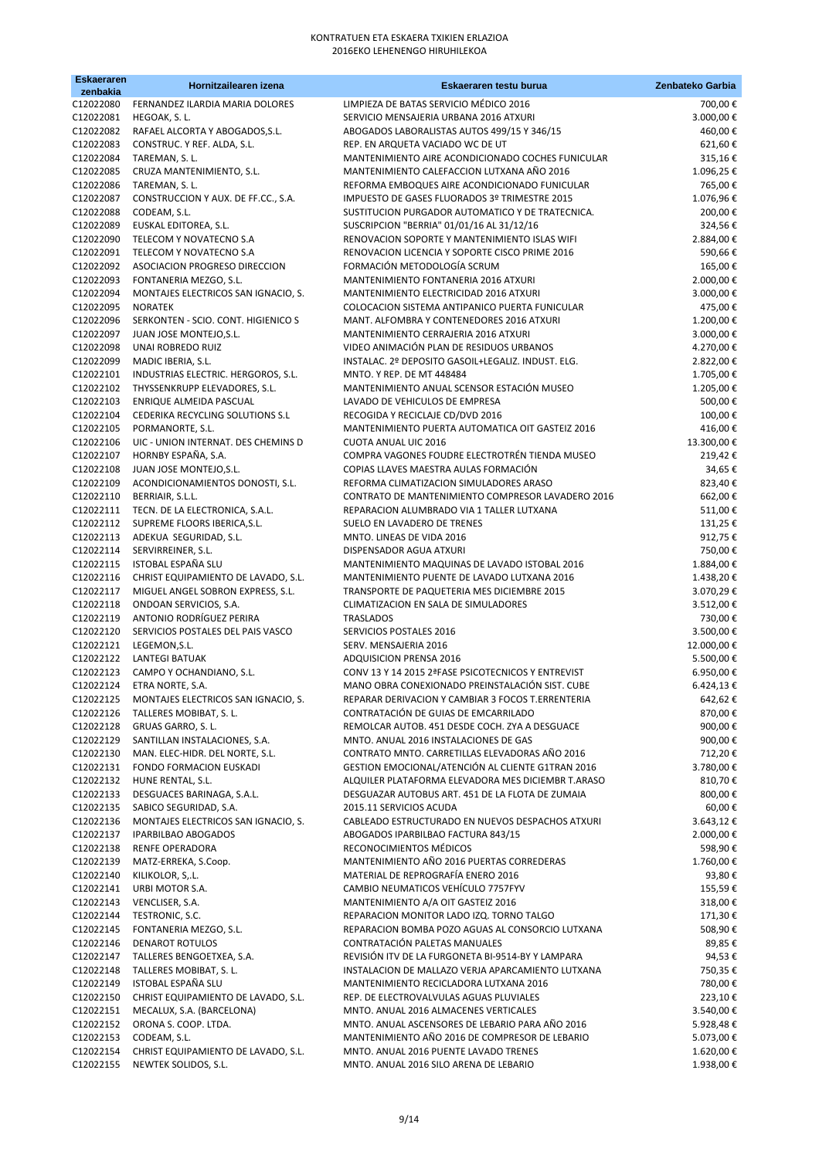| <b>Eskaeraren</b><br>zenbakia | Hornitzailearen izena                                           | Eskaeraren testu burua                                                                                 | Zenbateko Garbia       |
|-------------------------------|-----------------------------------------------------------------|--------------------------------------------------------------------------------------------------------|------------------------|
| C12022080                     | FERNANDEZ ILARDIA MARIA DOLORES                                 | LIMPIEZA DE BATAS SERVICIO MÉDICO 2016                                                                 | 700,00€                |
| C12022081                     | HEGOAK, S. L.                                                   | SERVICIO MENSAJERIA URBANA 2016 ATXURI                                                                 | 3.000,00€              |
| C12022082                     | RAFAEL ALCORTA Y ABOGADOS, S.L.                                 | ABOGADOS LABORALISTAS AUTOS 499/15 Y 346/15                                                            | 460,00€                |
| C12022083                     | CONSTRUC. Y REF. ALDA, S.L.                                     | REP. EN ARQUETA VACIADO WC DE UT<br>MANTENIMIENTO AIRE ACONDICIONADO COCHES FUNICULAR                  | 621,60€                |
| C12022084<br>C12022085        | TAREMAN, S. L.<br>CRUZA MANTENIMIENTO, S.L.                     | MANTENIMIENTO CALEFACCION LUTXANA AÑO 2016                                                             | 315,16€<br>1.096,25€   |
| C12022086                     | TAREMAN, S.L.                                                   | REFORMA EMBOQUES AIRE ACONDICIONADO FUNICULAR                                                          | 765,00€                |
| C12022087                     | CONSTRUCCION Y AUX. DE FF.CC., S.A.                             | IMPUESTO DE GASES FLUORADOS 3º TRIMESTRE 2015                                                          | 1.076,96€              |
| C12022088                     | CODEAM, S.L.                                                    | SUSTITUCION PURGADOR AUTOMATICO Y DE TRATECNICA.                                                       | 200,00€                |
| C12022089                     | EUSKAL EDITOREA, S.L.                                           | SUSCRIPCION "BERRIA" 01/01/16 AL 31/12/16                                                              | 324,56€                |
| C12022090<br>C12022091        | TELECOM Y NOVATECNO S.A<br>TELECOM Y NOVATECNO S.A              | RENOVACION SOPORTE Y MANTENIMIENTO ISLAS WIFI<br>RENOVACION LICENCIA Y SOPORTE CISCO PRIME 2016        | 2.884,00€<br>590,66€   |
| C12022092                     | ASOCIACION PROGRESO DIRECCION                                   | FORMACIÓN METODOLOGÍA SCRUM                                                                            | 165,00€                |
| C12022093                     | FONTANERIA MEZGO, S.L.                                          | MANTENIMIENTO FONTANERIA 2016 ATXURI                                                                   | 2.000,00€              |
| C12022094                     | MONTAJES ELECTRICOS SAN IGNACIO, S.                             | MANTENIMIENTO ELECTRICIDAD 2016 ATXURI                                                                 | 3.000,00€              |
| C12022095                     | <b>NORATEK</b>                                                  | COLOCACION SISTEMA ANTIPANICO PUERTA FUNICULAR                                                         | 475,00€                |
| C12022096                     | SERKONTEN - SCIO. CONT. HIGIENICO S                             | MANT. ALFOMBRA Y CONTENEDORES 2016 ATXURI                                                              | 1.200,00€              |
| C12022097<br>C12022098        | JUAN JOSE MONTEJO, S.L.<br>UNAI ROBREDO RUIZ                    | MANTENIMIENTO CERRAJERIA 2016 ATXURI<br>VIDEO ANIMACIÓN PLAN DE RESIDUOS URBANOS                       | 3.000,00€<br>4.270,00€ |
| C12022099                     | MADIC IBERIA, S.L.                                              | INSTALAC. 2º DEPOSITO GASOIL+LEGALIZ. INDUST. ELG.                                                     | 2.822,00€              |
| C12022101                     | INDUSTRIAS ELECTRIC. HERGOROS, S.L.                             | MNTO. Y REP. DE MT 448484                                                                              | 1.705,00€              |
| C12022102                     | THYSSENKRUPP ELEVADORES, S.L.                                   | MANTENIMIENTO ANUAL SCENSOR ESTACIÓN MUSEO                                                             | 1.205,00€              |
| C12022103                     | ENRIQUE ALMEIDA PASCUAL                                         | LAVADO DE VEHICULOS DE EMPRESA                                                                         | 500,00€                |
| C12022104<br>C12022105        | CEDERIKA RECYCLING SOLUTIONS S.L<br>PORMANORTE, S.L.            | RECOGIDA Y RECICLAJE CD/DVD 2016<br>MANTENIMIENTO PUERTA AUTOMATICA OIT GASTEIZ 2016                   | 100,00€<br>416,00€     |
| C12022106                     | UIC - UNION INTERNAT. DES CHEMINS D                             | <b>CUOTA ANUAL UIC 2016</b>                                                                            | 13.300,00€             |
| C12022107                     | HORNBY ESPAÑA, S.A.                                             | COMPRA VAGONES FOUDRE ELECTROTRÉN TIENDA MUSEO                                                         | 219,42€                |
| C12022108                     | JUAN JOSE MONTEJO, S.L.                                         | COPIAS LLAVES MAESTRA AULAS FORMACIÓN                                                                  | 34,65€                 |
| C12022109                     | ACONDICIONAMIENTOS DONOSTI, S.L.                                | REFORMA CLIMATIZACION SIMULADORES ARASO                                                                | 823,40€                |
| C12022110                     | BERRIAIR, S.L.L.                                                | CONTRATO DE MANTENIMIENTO COMPRESOR LAVADERO 2016                                                      | 662,00€                |
| C12022111<br>C12022112        | TECN. DE LA ELECTRONICA, S.A.L.<br>SUPREME FLOORS IBERICA, S.L. | REPARACION ALUMBRADO VIA 1 TALLER LUTXANA<br>SUELO EN LAVADERO DE TRENES                               | 511,00€<br>131,25€     |
| C12022113                     | ADEKUA SEGURIDAD, S.L.                                          | MNTO. LINEAS DE VIDA 2016                                                                              | 912,75€                |
| C12022114                     | SERVIRREINER, S.L.                                              | DISPENSADOR AGUA ATXURI                                                                                | 750,00€                |
| C12022115                     | ISTOBAL ESPAÑA SLU                                              | MANTENIMIENTO MAQUINAS DE LAVADO ISTOBAL 2016                                                          | 1.884,00€              |
| C12022116                     | CHRIST EQUIPAMIENTO DE LAVADO, S.L.                             | MANTENIMIENTO PUENTE DE LAVADO LUTXANA 2016                                                            | 1.438,20€              |
| C12022117<br>C12022118        | MIGUEL ANGEL SOBRON EXPRESS, S.L.<br>ONDOAN SERVICIOS, S.A.     | TRANSPORTE DE PAQUETERIA MES DICIEMBRE 2015<br>CLIMATIZACION EN SALA DE SIMULADORES                    | 3.070,29€<br>3.512,00€ |
| C12022119                     | ANTONIO RODRÍGUEZ PERIRA                                        | <b>TRASLADOS</b>                                                                                       | 730,00€                |
| C12022120                     | SERVICIOS POSTALES DEL PAIS VASCO                               | SERVICIOS POSTALES 2016                                                                                | 3.500,00€              |
| C12022121                     | LEGEMON,S.L.                                                    | SERV. MENSAJERIA 2016                                                                                  | 12.000,00€             |
| C12022122                     | LANTEGI BATUAK                                                  | ADQUISICION PRENSA 2016                                                                                | 5.500,00€              |
| C12022123<br>C12022124        | CAMPO Y OCHANDIANO, S.L.<br>ETRA NORTE, S.A.                    | CONV 13 Y 14 2015 2ª FASE PSICOTECNICOS Y ENTREVIST<br>MANO OBRA CONEXIONADO PREINSTALACIÓN SIST. CUBE | 6.950,00€<br>6.424,13€ |
| C12022125                     | MONTAJES ELECTRICOS SAN IGNACIO, S.                             | REPARAR DERIVACION Y CAMBIAR 3 FOCOS T.ERRENTERIA                                                      | 642,62€                |
| C12022126                     | TALLERES MOBIBAT, S. L.                                         | CONTRATACIÓN DE GUIAS DE EMCARRILADO                                                                   | 870,00€                |
| C12022128                     | GRUAS GARRO, S. L.                                              | REMOLCAR AUTOB. 451 DESDE COCH. ZYA A DESGUACE                                                         | 900,00€                |
| C12022129                     | SANTILLAN INSTALACIONES, S.A.                                   | MNTO. ANUAL 2016 INSTALACIONES DE GAS                                                                  | 900,00€                |
| C12022130                     | MAN. ELEC-HIDR. DEL NORTE, S.L.<br>FONDO FORMACION EUSKADI      | CONTRATO MNTO. CARRETILLAS ELEVADORAS AÑO 2016<br>GESTION EMOCIONAL/ATENCIÓN AL CLIENTE G1TRAN 2016    | 712,20€                |
| C12022131<br>C12022132        | HUNE RENTAL, S.L.                                               | ALQUILER PLATAFORMA ELEVADORA MES DICIEMBR T.ARASO                                                     | 3.780,00€<br>810,70€   |
| C12022133                     | DESGUACES BARINAGA, S.A.L.                                      | DESGUAZAR AUTOBUS ART. 451 DE LA FLOTA DE ZUMAIA                                                       | 800,00€                |
| C12022135                     | SABICO SEGURIDAD, S.A.                                          | 2015.11 SERVICIOS ACUDA                                                                                | 60,00€                 |
| C12022136                     | MONTAJES ELECTRICOS SAN IGNACIO, S.                             | CABLEADO ESTRUCTURADO EN NUEVOS DESPACHOS ATXURI                                                       | 3.643,12€              |
| C12022137                     | IPARBILBAO ABOGADOS                                             | ABOGADOS IPARBILBAO FACTURA 843/15<br>RECONOCIMIENTOS MÉDICOS                                          | 2.000,00€              |
| C12022138<br>C12022139        | RENFE OPERADORA<br>MATZ-ERREKA, S.Coop.                         | MANTENIMIENTO AÑO 2016 PUERTAS CORREDERAS                                                              | 598,90€<br>1.760,00€   |
| C12022140                     | KILIKOLOR, S,.L.                                                | MATERIAL DE REPROGRAFÍA ENERO 2016                                                                     | 93,80€                 |
| C12022141                     | URBI MOTOR S.A.                                                 | CAMBIO NEUMATICOS VEHÍCULO 7757FYV                                                                     | 155,59€                |
| C12022143                     | VENCLISER, S.A.                                                 | MANTENIMIENTO A/A OIT GASTEIZ 2016                                                                     | 318,00€                |
| C12022144                     | TESTRONIC, S.C.                                                 | REPARACION MONITOR LADO IZQ. TORNO TALGO                                                               | 171,30€                |
| C12022145<br>C12022146        | FONTANERIA MEZGO, S.L.<br><b>DENAROT ROTULOS</b>                | REPARACION BOMBA POZO AGUAS AL CONSORCIO LUTXANA<br>CONTRATACIÓN PALETAS MANUALES                      | 508,90€<br>89,85€      |
| C12022147                     | TALLERES BENGOETXEA, S.A.                                       | REVISIÓN ITV DE LA FURGONETA BI-9514-BY Y LAMPARA                                                      | 94,53€                 |
| C12022148                     | TALLERES MOBIBAT, S. L.                                         | INSTALACION DE MALLAZO VERJA APARCAMIENTO LUTXANA                                                      | 750,35€                |
| C12022149                     | ISTOBAL ESPAÑA SLU                                              | MANTENIMIENTO RECICLADORA LUTXANA 2016                                                                 | 780,00€                |
| C12022150                     | CHRIST EQUIPAMIENTO DE LAVADO, S.L.                             | REP. DE ELECTROVALVULAS AGUAS PLUVIALES                                                                | 223,10€                |
| C12022151                     | MECALUX, S.A. (BARCELONA)                                       | MNTO. ANUAL 2016 ALMACENES VERTICALES                                                                  | 3.540,00€              |
| C12022152<br>C12022153        | ORONA S. COOP. LTDA.<br>CODEAM, S.L.                            | MNTO. ANUAL ASCENSORES DE LEBARIO PARA AÑO 2016<br>MANTENIMIENTO AÑO 2016 DE COMPRESOR DE LEBARIO      | 5.928,48€<br>5.073,00€ |
| C12022154                     | CHRIST EQUIPAMIENTO DE LAVADO, S.L.                             | MNTO. ANUAL 2016 PUENTE LAVADO TRENES                                                                  | 1.620,00€              |
| C12022155                     | NEWTEK SOLIDOS, S.L.                                            | MNTO. ANUAL 2016 SILO ARENA DE LEBARIO                                                                 | 1.938,00€              |
|                               |                                                                 |                                                                                                        |                        |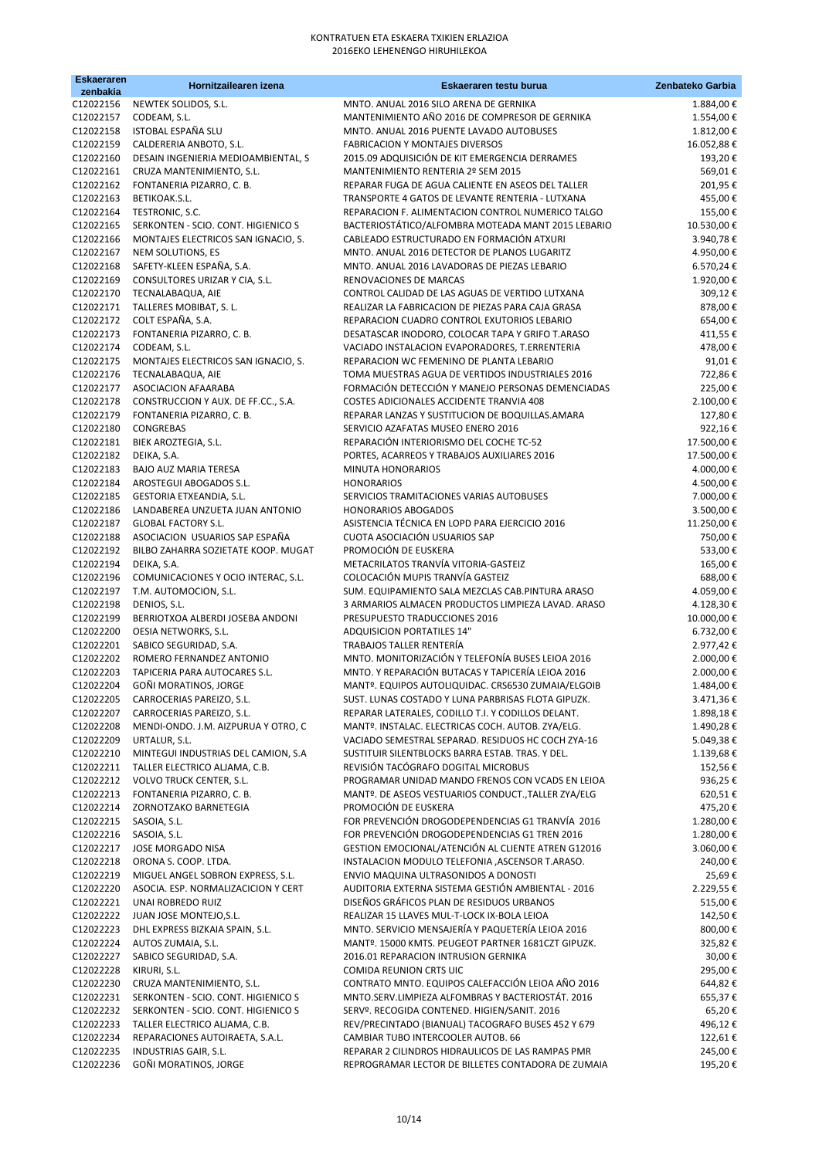| <b>Eskaeraren</b><br>zenbakia | Hornitzailearen izena                                                | Eskaeraren testu burua                                                                                  | Zenbateko Garbia            |
|-------------------------------|----------------------------------------------------------------------|---------------------------------------------------------------------------------------------------------|-----------------------------|
| C12022156                     | NEWTEK SOLIDOS, S.L.                                                 | MNTO. ANUAL 2016 SILO ARENA DE GERNIKA                                                                  | 1.884,00€                   |
| C12022157                     | CODEAM, S.L.                                                         | MANTENIMIENTO AÑO 2016 DE COMPRESOR DE GERNIKA                                                          | 1.554,00€                   |
| C12022158                     | ISTOBAL ESPAÑA SLU                                                   | MNTO. ANUAL 2016 PUENTE LAVADO AUTOBUSES                                                                | 1.812,00€                   |
| C12022159                     | CALDERERIA ANBOTO, S.L.                                              | <b>FABRICACION Y MONTAJES DIVERSOS</b>                                                                  | 16.052,88€                  |
| C12022160<br>C12022161        | DESAIN INGENIERIA MEDIOAMBIENTAL, S<br>CRUZA MANTENIMIENTO, S.L.     | 2015.09 ADQUISICIÓN DE KIT EMERGENCIA DERRAMES<br>MANTENIMIENTO RENTERIA 2º SEM 2015                    | 193,20€<br>569,01€          |
| C12022162                     | FONTANERIA PIZARRO, C. B.                                            | REPARAR FUGA DE AGUA CALIENTE EN ASEOS DEL TALLER                                                       | 201,95€                     |
| C12022163                     | BETIKOAK.S.L.                                                        | TRANSPORTE 4 GATOS DE LEVANTE RENTERIA - LUTXANA                                                        | 455,00€                     |
| C12022164                     | TESTRONIC, S.C.                                                      | REPARACION F. ALIMENTACION CONTROL NUMERICO TALGO                                                       | 155,00€                     |
| C12022165                     | SERKONTEN - SCIO. CONT. HIGIENICO S                                  | BACTERIOSTÁTICO/ALFOMBRA MOTEADA MANT 2015 LEBARIO                                                      | 10.530,00€                  |
| C12022166<br>C12022167        | MONTAJES ELECTRICOS SAN IGNACIO, S.<br>NEM SOLUTIONS, ES             | CABLEADO ESTRUCTURADO EN FORMACIÓN ATXURI<br>MNTO. ANUAL 2016 DETECTOR DE PLANOS LUGARITZ               | 3.940,78€<br>4.950,00€      |
| C12022168                     | SAFETY-KLEEN ESPAÑA, S.A.                                            | MNTO. ANUAL 2016 LAVADORAS DE PIEZAS LEBARIO                                                            | 6.570,24€                   |
| C12022169                     | CONSULTORES URIZAR Y CIA, S.L.                                       | RENOVACIONES DE MARCAS                                                                                  | 1.920,00€                   |
| C12022170                     | TECNALABAQUA, AIE                                                    | CONTROL CALIDAD DE LAS AGUAS DE VERTIDO LUTXANA                                                         | 309,12€                     |
| C12022171                     | TALLERES MOBIBAT, S. L.                                              | REALIZAR LA FABRICACION DE PIEZAS PARA CAJA GRASA                                                       | 878,00€                     |
| C12022172<br>C12022173        | COLT ESPAÑA, S.A.                                                    | REPARACION CUADRO CONTROL EXUTORIOS LEBARIO                                                             | 654,00€                     |
| C12022174                     | FONTANERIA PIZARRO, C. B.<br>CODEAM, S.L.                            | DESATASCAR INODORO, COLOCAR TAPA Y GRIFO T.ARASO<br>VACIADO INSTALACION EVAPORADORES, T.ERRENTERIA      | 411,55€<br>478,00€          |
| C12022175                     | MONTAJES ELECTRICOS SAN IGNACIO, S.                                  | REPARACION WC FEMENINO DE PLANTA LEBARIO                                                                | 91,01€                      |
| C12022176                     | TECNALABAQUA, AIE                                                    | TOMA MUESTRAS AGUA DE VERTIDOS INDUSTRIALES 2016                                                        | 722,86€                     |
| C12022177                     | ASOCIACION AFAARABA                                                  | FORMACIÓN DETECCIÓN Y MANEJO PERSONAS DEMENCIADAS                                                       | 225,00€                     |
| C12022178                     | CONSTRUCCION Y AUX. DE FF.CC., S.A.                                  | COSTES ADICIONALES ACCIDENTE TRANVIA 408                                                                | 2.100,00€                   |
| C12022179<br>C12022180        | FONTANERIA PIZARRO, C. B.<br>CONGREBAS                               | REPARAR LANZAS Y SUSTITUCION DE BOQUILLAS.AMARA<br>SERVICIO AZAFATAS MUSEO ENERO 2016                   | 127,80€<br>922,16€          |
| C12022181                     | BIEK AROZTEGIA, S.L.                                                 | REPARACIÓN INTERIORISMO DEL COCHE TC-52                                                                 | 17.500,00€                  |
| C12022182                     | DEIKA, S.A.                                                          | PORTES, ACARREOS Y TRABAJOS AUXILIARES 2016                                                             | 17.500,00€                  |
| C12022183                     | <b>BAJO AUZ MARIA TERESA</b>                                         | MINUTA HONORARIOS                                                                                       | 4.000,00€                   |
| C12022184                     | AROSTEGUI ABOGADOS S.L.                                              | <b>HONORARIOS</b>                                                                                       | 4.500,00€                   |
| C12022185<br>C12022186        | GESTORIA ETXEANDIA, S.L.<br>LANDABEREA UNZUETA JUAN ANTONIO          | SERVICIOS TRAMITACIONES VARIAS AUTOBUSES<br><b>HONORARIOS ABOGADOS</b>                                  | 7.000,00€                   |
| C12022187                     | <b>GLOBAL FACTORY S.L.</b>                                           | ASISTENCIA TÉCNICA EN LOPD PARA EJERCICIO 2016                                                          | 3.500,00€<br>11.250,00€     |
| C12022188                     | ASOCIACION USUARIOS SAP ESPAÑA                                       | CUOTA ASOCIACIÓN USUARIOS SAP                                                                           | 750,00€                     |
| C12022192                     | BILBO ZAHARRA SOZIETATE KOOP. MUGAT                                  | PROMOCIÓN DE EUSKERA                                                                                    | 533,00€                     |
| C12022194                     | DEIKA, S.A.                                                          | METACRILATOS TRANVÍA VITORIA-GASTEIZ                                                                    | 165,00€                     |
| C12022196                     | COMUNICACIONES Y OCIO INTERAC, S.L.                                  | COLOCACIÓN MUPIS TRANVÍA GASTEIZ                                                                        | 688,00€                     |
| C12022197<br>C12022198        | T.M. AUTOMOCION, S.L.<br>DENIOS, S.L.                                | SUM. EQUIPAMIENTO SALA MEZCLAS CAB.PINTURA ARASO<br>3 ARMARIOS ALMACEN PRODUCTOS LIMPIEZA LAVAD. ARASO  | 4.059,00€<br>4.128,30€      |
| C12022199                     | BERRIOTXOA ALBERDI JOSEBA ANDONI                                     | PRESUPUESTO TRADUCCIONES 2016                                                                           | 10.000,00€                  |
| C12022200                     | OESIA NETWORKS, S.L.                                                 | ADQUISICION PORTATILES 14"                                                                              | 6.732,00€                   |
| C12022201                     | SABICO SEGURIDAD, S.A.                                               | TRABAJOS TALLER RENTERÍA                                                                                | 2.977,42€                   |
| C12022202                     | ROMERO FERNANDEZ ANTONIO                                             | MNTO. MONITORIZACIÓN Y TELEFONÍA BUSES LEIOA 2016                                                       | 2.000,00€                   |
| C12022203<br>C12022204        | TAPICERIA PARA AUTOCARES S.L.<br>GOÑI MORATINOS, JORGE               | MNTO. Y REPARACIÓN BUTACAS Y TAPICERÍA LEIOA 2016<br>MANTº. EQUIPOS AUTOLIQUIDAC. CRS6530 ZUMAIA/ELGOIB | 2.000,00€<br>$1.484,\!00$ € |
| C12022205                     | CARROCERIAS PAREIZO, S.L.                                            | SUST. LUNAS COSTADO Y LUNA PARBRISAS FLOTA GIPUZK.                                                      | 3.471,36€                   |
| C12022207                     | CARROCERIAS PAREIZO, S.L.                                            | REPARAR LATERALES, CODILLO T.I. Y CODILLOS DELANT.                                                      | 1.898,18€                   |
| C12022208                     | MENDI-ONDO. J.M. AIZPURUA Y OTRO, C                                  | MANTº. INSTALAC. ELECTRICAS COCH. AUTOB. ZYA/ELG.                                                       | 1.490,28€                   |
| C12022209                     | URTALUR, S.L.                                                        | VACIADO SEMESTRAL SEPARAD. RESIDUOS HC COCH ZYA-16                                                      | 5.049,38€                   |
| C12022210<br>C12022211        | MINTEGUI INDUSTRIAS DEL CAMION, S.A                                  | SUSTITUIR SILENTBLOCKS BARRA ESTAB. TRAS. Y DEL.<br>REVISIÓN TACÓGRAFO DOGITAL MICROBUS                 | 1.139,68€<br>152,56€        |
| C12022212                     | TALLER ELECTRICO ALJAMA, C.B.<br><b>VOLVO TRUCK CENTER, S.L.</b>     | PROGRAMAR UNIDAD MANDO FRENOS CON VCADS EN LEIOA                                                        | 936,25€                     |
| C12022213                     | FONTANERIA PIZARRO, C. B.                                            | MANTº. DE ASEOS VESTUARIOS CONDUCT., TALLER ZYA/ELG                                                     | 620,51€                     |
| C12022214                     | ZORNOTZAKO BARNETEGIA                                                | PROMOCIÓN DE EUSKERA                                                                                    | 475,20€                     |
| C12022215                     | SASOIA, S.L.                                                         | FOR PREVENCIÓN DROGODEPENDENCIAS G1 TRANVÍA 2016                                                        | 1.280,00€                   |
| C12022216<br>C12022217        | SASOIA, S.L.<br>JOSE MORGADO NISA                                    | FOR PREVENCIÓN DROGODEPENDENCIAS G1 TREN 2016<br>GESTION EMOCIONAL/ATENCIÓN AL CLIENTE ATREN G12016     | 1.280,00€                   |
| C12022218                     | ORONA S. COOP. LTDA.                                                 | INSTALACION MODULO TELEFONIA , ASCENSOR T.ARASO.                                                        | 3.060,00€<br>240,00€        |
| C12022219                     | MIGUEL ANGEL SOBRON EXPRESS, S.L.                                    | ENVIO MAQUINA ULTRASONIDOS A DONOSTI                                                                    | 25,69€                      |
| C12022220                     | ASOCIA. ESP. NORMALIZACICION Y CERT                                  | AUDITORIA EXTERNA SISTEMA GESTIÓN AMBIENTAL - 2016                                                      | 2.229,55€                   |
| C12022221                     | UNAI ROBREDO RUIZ                                                    | DISEÑOS GRÁFICOS PLAN DE RESIDUOS URBANOS                                                               | 515,00€                     |
| C12022222                     | JUAN JOSE MONTEJO, S.L.                                              | REALIZAR 15 LLAVES MUL-T-LOCK IX-BOLA LEIOA                                                             | 142,50€                     |
| C12022223<br>C12022224        | DHL EXPRESS BIZKAIA SPAIN, S.L.<br>AUTOS ZUMAIA, S.L.                | MNTO. SERVICIO MENSAJERÍA Y PAQUETERÍA LEIOA 2016<br>MANTº. 15000 KMTS. PEUGEOT PARTNER 1681CZT GIPUZK. | 800,00€<br>325,82€          |
| C12022227                     | SABICO SEGURIDAD, S.A.                                               | 2016.01 REPARACION INTRUSION GERNIKA                                                                    | 30,00€                      |
| C12022228                     | KIRURI, S.L.                                                         | COMIDA REUNION CRTS UIC                                                                                 | 295,00€                     |
| C12022230                     | CRUZA MANTENIMIENTO, S.L.                                            | CONTRATO MNTO. EQUIPOS CALEFACCIÓN LEIOA AÑO 2016                                                       | 644,82€                     |
| C12022231                     | SERKONTEN - SCIO. CONT. HIGIENICO S                                  | MNTO.SERV.LIMPIEZA ALFOMBRAS Y BACTERIOSTÁT. 2016                                                       | 655,37€                     |
| C12022232<br>C12022233        | SERKONTEN - SCIO. CONT. HIGIENICO S<br>TALLER ELECTRICO ALJAMA, C.B. | SERVº. RECOGIDA CONTENED. HIGIEN/SANIT. 2016<br>REV/PRECINTADO (BIANUAL) TACOGRAFO BUSES 452 Y 679      | 65,20€<br>496,12€           |
| C12022234                     | REPARACIONES AUTOIRAETA, S.A.L.                                      | CAMBIAR TUBO INTERCOOLER AUTOB. 66                                                                      | 122,61€                     |
| C12022235                     | <b>INDUSTRIAS GAIR, S.L.</b>                                         | REPARAR 2 CILINDROS HIDRAULICOS DE LAS RAMPAS PMR                                                       | 245,00€                     |
| C12022236                     | GOÑI MORATINOS, JORGE                                                | REPROGRAMAR LECTOR DE BILLETES CONTADORA DE ZUMAIA                                                      | 195,20€                     |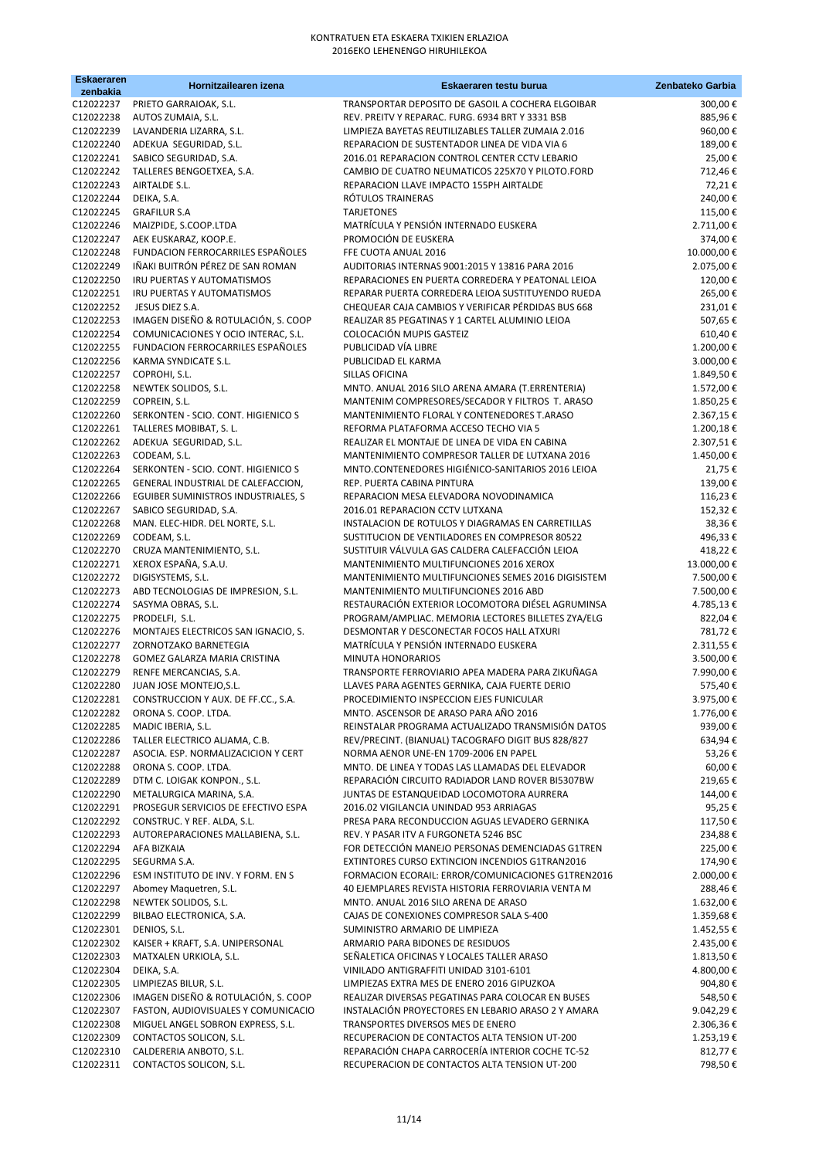| <b>Eskaeraren</b><br>zenbakia | Hornitzailearen izena                                                      | Eskaeraren testu burua                                                                              | Zenbateko Garbia        |
|-------------------------------|----------------------------------------------------------------------------|-----------------------------------------------------------------------------------------------------|-------------------------|
| C12022237                     | PRIETO GARRAIOAK, S.L.                                                     | TRANSPORTAR DEPOSITO DE GASOIL A COCHERA ELGOIBAR                                                   | 300,00€                 |
| C12022238                     | AUTOS ZUMAIA, S.L.                                                         | REV. PREITV Y REPARAC. FURG. 6934 BRT Y 3331 BSB                                                    | 885,96€                 |
| C12022239                     | LAVANDERIA LIZARRA, S.L.                                                   | LIMPIEZA BAYETAS REUTILIZABLES TALLER ZUMAIA 2.016                                                  | 960,00€                 |
| C12022240                     | ADEKUA SEGURIDAD, S.L.<br>SABICO SEGURIDAD, S.A.                           | REPARACION DE SUSTENTADOR LINEA DE VIDA VIA 6                                                       | 189,00€                 |
| C12022241<br>C12022242        | TALLERES BENGOETXEA, S.A.                                                  | 2016.01 REPARACION CONTROL CENTER CCTV LEBARIO<br>CAMBIO DE CUATRO NEUMATICOS 225X70 Y PILOTO.FORD  | 25,00€<br>712,46€       |
| C12022243                     | AIRTALDE S.L.                                                              | REPARACION LLAVE IMPACTO 155PH AIRTALDE                                                             | 72,21€                  |
| C12022244                     | DEIKA, S.A.                                                                | RÓTULOS TRAINERAS                                                                                   | 240,00€                 |
| C12022245                     | <b>GRAFILUR S.A</b>                                                        | <b>TARJETONES</b>                                                                                   | 115,00€                 |
| C12022246                     | MAIZPIDE, S.COOP.LTDA                                                      | MATRÍCULA Y PENSIÓN INTERNADO EUSKERA                                                               | 2.711,00€               |
| C12022247<br>C12022248        | AEK EUSKARAZ, KOOP.E.<br>FUNDACION FERROCARRILES ESPAÑOLES                 | PROMOCIÓN DE EUSKERA<br>FFE CUOTA ANUAL 2016                                                        | 374,00€<br>10.000,00€   |
| C12022249                     | IÑAKI BUITRÓN PÉREZ DE SAN ROMAN                                           | AUDITORIAS INTERNAS 9001:2015 Y 13816 PARA 2016                                                     | 2.075,00€               |
| C12022250                     | IRU PUERTAS Y AUTOMATISMOS                                                 | REPARACIONES EN PUERTA CORREDERA Y PEATONAL LEIOA                                                   | 120,00€                 |
| C12022251                     | IRU PUERTAS Y AUTOMATISMOS                                                 | REPARAR PUERTA CORREDERA LEIOA SUSTITUYENDO RUEDA                                                   | 265,00€                 |
| C12022252                     | JESUS DIEZ S.A.                                                            | CHEQUEAR CAJA CAMBIOS Y VERIFICAR PÉRDIDAS BUS 668                                                  | 231,01€                 |
| C12022253<br>C12022254        | IMAGEN DISEÑO & ROTULACIÓN, S. COOP<br>COMUNICACIONES Y OCIO INTERAC, S.L. | REALIZAR 85 PEGATINAS Y 1 CARTEL ALUMINIO LEIOA<br>COLOCACIÓN MUPIS GASTEIZ                         | 507,65€                 |
| C12022255                     | FUNDACION FERROCARRILES ESPAÑOLES                                          | PUBLICIDAD VÍA LIBRE                                                                                | 610,40€<br>1.200,00€    |
| C12022256                     | KARMA SYNDICATE S.L.                                                       | PUBLICIDAD EL KARMA                                                                                 | 3.000,00€               |
| C12022257                     | COPROHI, S.L.                                                              | SILLAS OFICINA                                                                                      | 1.849,50€               |
| C12022258                     | NEWTEK SOLIDOS, S.L.                                                       | MNTO. ANUAL 2016 SILO ARENA AMARA (T.ERRENTERIA)                                                    | 1.572,00€               |
| C12022259                     | COPREIN, S.L.                                                              | MANTENIM COMPRESORES/SECADOR Y FILTROS T. ARASO                                                     | 1.850,25€               |
| C12022260<br>C12022261        | SERKONTEN - SCIO. CONT. HIGIENICO S<br>TALLERES MOBIBAT, S. L.             | MANTENIMIENTO FLORAL Y CONTENEDORES T.ARASO<br>REFORMA PLATAFORMA ACCESO TECHO VIA 5                | 2.367,15€<br>1.200,18€  |
| C12022262                     | ADEKUA SEGURIDAD, S.L.                                                     | REALIZAR EL MONTAJE DE LINEA DE VIDA EN CABINA                                                      | 2.307,51€               |
| C12022263                     | CODEAM, S.L.                                                               | MANTENIMIENTO COMPRESOR TALLER DE LUTXANA 2016                                                      | 1.450,00€               |
| C12022264                     | SERKONTEN - SCIO. CONT. HIGIENICO S                                        | MNTO.CONTENEDORES HIGIÉNICO-SANITARIOS 2016 LEIOA                                                   | 21,75€                  |
| C12022265                     | GENERAL INDUSTRIAL DE CALEFACCION,                                         | REP. PUERTA CABINA PINTURA                                                                          | 139,00€                 |
| C12022266<br>C12022267        | EGUIBER SUMINISTROS INDUSTRIALES, S                                        | REPARACION MESA ELEVADORA NOVODINAMICA<br>2016.01 REPARACION CCTV LUTXANA                           | 116,23€<br>152,32€      |
| C12022268                     | SABICO SEGURIDAD, S.A.<br>MAN. ELEC-HIDR. DEL NORTE, S.L.                  | INSTALACION DE ROTULOS Y DIAGRAMAS EN CARRETILLAS                                                   | 38,36€                  |
| C12022269                     | CODEAM, S.L.                                                               | SUSTITUCION DE VENTILADORES EN COMPRESOR 80522                                                      | 496,33€                 |
| C12022270                     | CRUZA MANTENIMIENTO, S.L.                                                  | SUSTITUIR VÁLVULA GAS CALDERA CALEFACCIÓN LEIOA                                                     | 418,22€                 |
| C12022271                     | XEROX ESPAÑA, S.A.U.                                                       | MANTENIMIENTO MULTIFUNCIONES 2016 XEROX                                                             | 13.000,00€              |
| C12022272                     | DIGISYSTEMS, S.L.                                                          | MANTENIMIENTO MULTIFUNCIONES SEMES 2016 DIGISISTEM                                                  | 7.500,00€               |
| C12022273<br>C12022274        | ABD TECNOLOGIAS DE IMPRESION, S.L.<br>SASYMA OBRAS, S.L.                   | MANTENIMIENTO MULTIFUNCIONES 2016 ABD<br>RESTAURACIÓN EXTERIOR LOCOMOTORA DIÉSEL AGRUMINSA          | 7.500,00€<br>4.785,13€  |
| C12022275                     | PRODELFI, S.L.                                                             | PROGRAM/AMPLIAC. MEMORIA LECTORES BILLETES ZYA/ELG                                                  | 822,04€                 |
| C12022276                     | MONTAJES ELECTRICOS SAN IGNACIO, S.                                        | DESMONTAR Y DESCONECTAR FOCOS HALL ATXURI                                                           | 781,72€                 |
| C12022277                     | ZORNOTZAKO BARNETEGIA                                                      | MATRÍCULA Y PENSIÓN INTERNADO EUSKERA                                                               | 2.311,55 €              |
| C12022278                     | GOMEZ GALARZA MARIA CRISTINA                                               | MINUTA HONORARIOS                                                                                   | 3.500,00€               |
| C12022279<br>C12022280        | RENFE MERCANCIAS, S.A.<br>JUAN JOSE MONTEJO, S.L.                          | TRANSPORTE FERROVIARIO APEA MADERA PARA ZIKUÑAGA<br>LLAVES PARA AGENTES GERNIKA, CAJA FUERTE DERIO  | 7.990,00€<br>575,40€    |
| C12022281                     | CONSTRUCCION Y AUX. DE FF.CC., S.A.                                        | PROCEDIMIENTO INSPECCION EJES FUNICULAR                                                             | 3.975,00€               |
| C12022282                     | ORONA S. COOP. LTDA.                                                       | MNTO. ASCENSOR DE ARASO PARA AÑO 2016                                                               | 1.776,00€               |
| C12022285                     | MADIC IBERIA, S.L.                                                         | REINSTALAR PROGRAMA ACTUALIZADO TRANSMISIÓN DATOS                                                   | 939,00€                 |
| C12022286                     | TALLER ELECTRICO ALJAMA, C.B.                                              | REV/PRECINT. (BIANUAL) TACOGRAFO DIGIT BUS 828/827                                                  | 634,94€                 |
| C12022287<br>C12022288        | ASOCIA. ESP. NORMALIZACICION Y CERT<br>ORONA S. COOP. LTDA.                | NORMA AENOR UNE-EN 1709-2006 EN PAPEL<br>MNTO. DE LINEA Y TODAS LAS LLAMADAS DEL ELEVADOR           | 53,26€<br>60,00€        |
| C12022289                     | DTM C. LOIGAK KONPON., S.L.                                                | REPARACIÓN CIRCUITO RADIADOR LAND ROVER BI5307BW                                                    | 219,65€                 |
| C12022290                     | METALURGICA MARINA, S.A.                                                   | JUNTAS DE ESTANQUEIDAD LOCOMOTORA AURRERA                                                           | 144,00€                 |
| C12022291                     | PROSEGUR SERVICIOS DE EFECTIVO ESPA                                        | 2016.02 VIGILANCIA UNINDAD 953 ARRIAGAS                                                             | 95,25€                  |
| C12022292                     | CONSTRUC. Y REF. ALDA, S.L.                                                | PRESA PARA RECONDUCCION AGUAS LEVADERO GERNIKA                                                      | 117,50€                 |
| C12022293<br>C12022294        | AUTOREPARACIONES MALLABIENA, S.L.                                          | REV. Y PASAR ITV A FURGONETA 5246 BSC                                                               | 234,88€                 |
| C12022295                     | AFA BIZKAIA<br>SEGURMA S.A.                                                | FOR DETECCIÓN MANEJO PERSONAS DEMENCIADAS G1TREN<br>EXTINTORES CURSO EXTINCION INCENDIOS G1TRAN2016 | 225,00€<br>174,90€      |
| C12022296                     | ESM INSTITUTO DE INV. Y FORM. EN S                                         | FORMACION ECORAIL: ERROR/COMUNICACIONES G1TREN2016                                                  | 2.000,00€               |
| C12022297                     | Abomey Maquetren, S.L.                                                     | 40 EJEMPLARES REVISTA HISTORIA FERROVIARIA VENTA M                                                  | 288,46€                 |
| C12022298                     | NEWTEK SOLIDOS, S.L.                                                       | MNTO. ANUAL 2016 SILO ARENA DE ARASO                                                                | 1.632,00€               |
| C12022299                     | BILBAO ELECTRONICA, S.A.                                                   | CAJAS DE CONEXIONES COMPRESOR SALA S-400                                                            | 1.359,68€               |
| C12022301<br>C12022302        | DENIOS, S.L.<br>KAISER + KRAFT, S.A. UNIPERSONAL                           | SUMINISTRO ARMARIO DE LIMPIEZA<br>ARMARIO PARA BIDONES DE RESIDUOS                                  | 1.452,55€<br>2.435,00 € |
| C12022303                     | MATXALEN URKIOLA, S.L.                                                     | SEÑALETICA OFICINAS Y LOCALES TALLER ARASO                                                          | 1.813,50€               |
| C12022304                     | DEIKA, S.A.                                                                | VINILADO ANTIGRAFFITI UNIDAD 3101-6101                                                              | 4.800,00€               |
| C12022305                     | LIMPIEZAS BILUR, S.L.                                                      | LIMPIEZAS EXTRA MES DE ENERO 2016 GIPUZKOA                                                          | 904,80€                 |
| C12022306                     | IMAGEN DISEÑO & ROTULACIÓN, S. COOP                                        | REALIZAR DIVERSAS PEGATINAS PARA COLOCAR EN BUSES                                                   | 548,50€                 |
| C12022307<br>C12022308        | FASTON, AUDIOVISUALES Y COMUNICACIO<br>MIGUEL ANGEL SOBRON EXPRESS, S.L.   | INSTALACIÓN PROYECTORES EN LEBARIO ARASO 2 Y AMARA<br>TRANSPORTES DIVERSOS MES DE ENERO             | 9.042,29€<br>2.306,36€  |
| C12022309                     | CONTACTOS SOLICON, S.L.                                                    | RECUPERACION DE CONTACTOS ALTA TENSION UT-200                                                       | 1.253,19€               |
| C12022310                     | CALDERERIA ANBOTO, S.L.                                                    | REPARACIÓN CHAPA CARROCERÍA INTERIOR COCHE TC-52                                                    | 812,77€                 |
| C12022311                     | CONTACTOS SOLICON, S.L.                                                    | RECUPERACION DE CONTACTOS ALTA TENSION UT-200                                                       | 798,50€                 |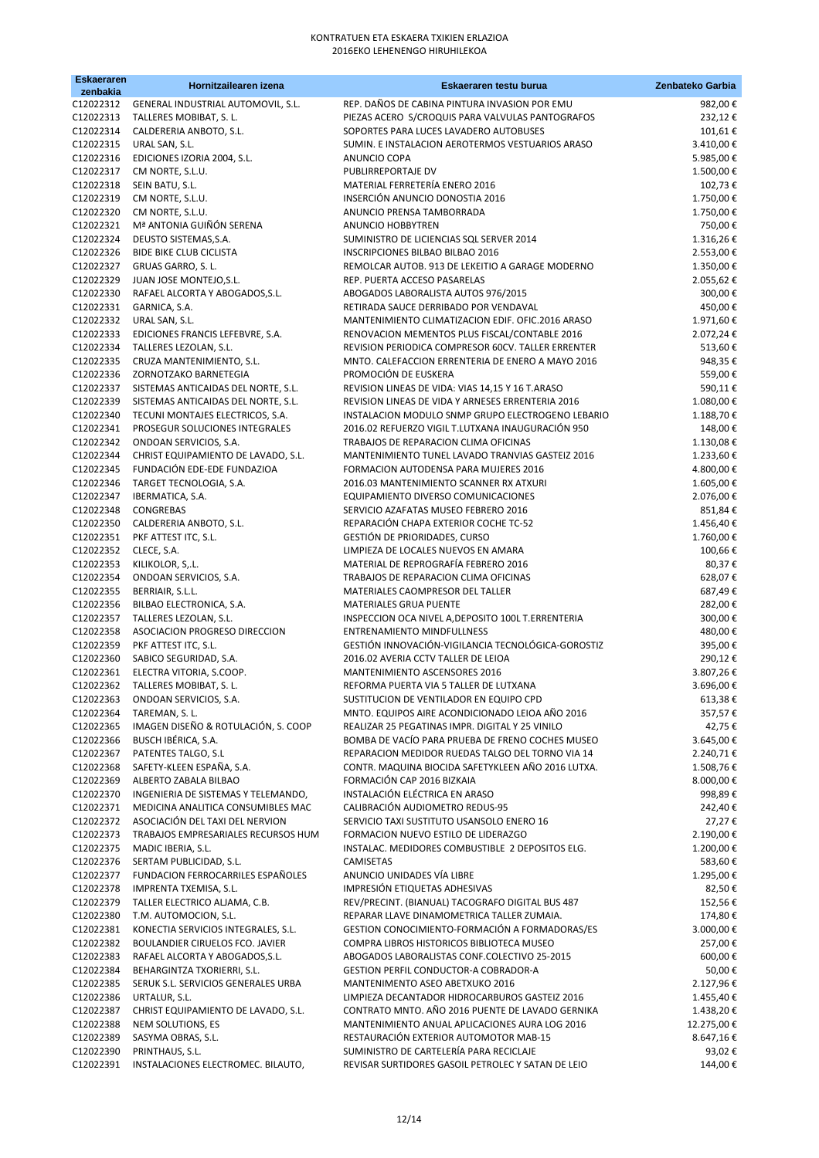| <b>Eskaeraren</b><br>zenbakia | Hornitzailearen izena                                                  | Eskaeraren testu burua                                                                                 | Zenbateko Garbia         |
|-------------------------------|------------------------------------------------------------------------|--------------------------------------------------------------------------------------------------------|--------------------------|
| C12022312                     | GENERAL INDUSTRIAL AUTOMOVIL, S.L.                                     | REP. DAÑOS DE CABINA PINTURA INVASION POR EMU                                                          | 982,00€                  |
| C12022313                     | TALLERES MOBIBAT, S. L.                                                | PIEZAS ACERO S/CROQUIS PARA VALVULAS PANTOGRAFOS                                                       | 232,12€                  |
| C12022314                     | CALDERERIA ANBOTO, S.L.                                                | SOPORTES PARA LUCES LAVADERO AUTOBUSES                                                                 | 101,61€                  |
| C12022315<br>C12022316        | URAL SAN, S.L.<br>EDICIONES IZORIA 2004, S.L.                          | SUMIN. E INSTALACION AEROTERMOS VESTUARIOS ARASO<br>ANUNCIO COPA                                       | 3.410,00€<br>5.985,00€   |
| C12022317                     | CM NORTE, S.L.U.                                                       | PUBLIRREPORTAJE DV                                                                                     | 1.500,00€                |
| C12022318                     | SEIN BATU, S.L.                                                        | MATERIAL FERRETERÍA ENERO 2016                                                                         | 102,73€                  |
| C12022319                     | CM NORTE, S.L.U.                                                       | INSERCIÓN ANUNCIO DONOSTIA 2016                                                                        | 1.750,00€                |
| C12022320                     | CM NORTE, S.L.U.                                                       | ANUNCIO PRENSA TAMBORRADA                                                                              | 1.750,00€                |
| C12022321                     | Mª ANTONIA GUIÑÓN SERENA                                               | ANUNCIO HOBBYTREN                                                                                      | 750,00€                  |
| C12022324<br>C12022326        | DEUSTO SISTEMAS, S.A.<br><b>BIDE BIKE CLUB CICLISTA</b>                | SUMINISTRO DE LICIENCIAS SQL SERVER 2014<br>INSCRIPCIONES BILBAO BILBAO 2016                           | 1.316,26€<br>2.553,00€   |
| C12022327                     | GRUAS GARRO, S. L.                                                     | REMOLCAR AUTOB. 913 DE LEKEITIO A GARAGE MODERNO                                                       | 1.350,00€                |
| C12022329                     | JUAN JOSE MONTEJO, S.L.                                                | REP. PUERTA ACCESO PASARELAS                                                                           | 2.055,62€                |
| C12022330                     | RAFAEL ALCORTA Y ABOGADOS, S.L.                                        | ABOGADOS LABORALISTA AUTOS 976/2015                                                                    | 300,00€                  |
| C12022331                     | GARNICA, S.A.                                                          | RETIRADA SAUCE DERRIBADO POR VENDAVAL                                                                  | 450,00€                  |
| C12022332<br>C12022333        | URAL SAN, S.L.<br>EDICIONES FRANCIS LEFEBVRE, S.A.                     | MANTENIMIENTO CLIMATIZACION EDIF. OFIC.2016 ARASO<br>RENOVACION MEMENTOS PLUS FISCAL/CONTABLE 2016     | 1.971,60€<br>2.072,24€   |
| C12022334                     | TALLERES LEZOLAN, S.L.                                                 | REVISION PERIODICA COMPRESOR 60CV. TALLER ERRENTER                                                     | 513,60€                  |
| C12022335                     | CRUZA MANTENIMIENTO, S.L.                                              | MNTO. CALEFACCION ERRENTERIA DE ENERO A MAYO 2016                                                      | 948,35€                  |
| C12022336                     | ZORNOTZAKO BARNETEGIA                                                  | PROMOCIÓN DE EUSKERA                                                                                   | 559,00€                  |
| C12022337                     | SISTEMAS ANTICAIDAS DEL NORTE, S.L.                                    | REVISION LINEAS DE VIDA: VIAS 14,15 Y 16 T.ARASO                                                       | 590,11€                  |
| C12022339                     | SISTEMAS ANTICAIDAS DEL NORTE, S.L.                                    | REVISION LINEAS DE VIDA Y ARNESES ERRENTERIA 2016<br>INSTALACION MODULO SNMP GRUPO ELECTROGENO LEBARIO | 1.080,00€                |
| C12022340<br>C12022341        | TECUNI MONTAJES ELECTRICOS, S.A.<br>PROSEGUR SOLUCIONES INTEGRALES     | 2016.02 REFUERZO VIGIL T.LUTXANA INAUGURACIÓN 950                                                      | 1.188,70€<br>148,00€     |
| C12022342                     | ONDOAN SERVICIOS, S.A.                                                 | TRABAJOS DE REPARACION CLIMA OFICINAS                                                                  | 1.130,08€                |
| C12022344                     | CHRIST EQUIPAMIENTO DE LAVADO, S.L.                                    | MANTENIMIENTO TUNEL LAVADO TRANVIAS GASTEIZ 2016                                                       | 1.233,60€                |
| C12022345                     | FUNDACIÓN EDE-EDE FUNDAZIOA                                            | FORMACION AUTODENSA PARA MUJERES 2016                                                                  | 4.800,00€                |
| C12022346                     | TARGET TECNOLOGIA, S.A.                                                | 2016.03 MANTENIMIENTO SCANNER RX ATXURI                                                                | 1.605,00€                |
| C12022347<br>C12022348        | IBERMATICA, S.A.<br>CONGREBAS                                          | EQUIPAMIENTO DIVERSO COMUNICACIONES<br>SERVICIO AZAFATAS MUSEO FEBRERO 2016                            | 2.076,00€<br>851,84€     |
| C12022350                     | CALDERERIA ANBOTO, S.L.                                                | REPARACIÓN CHAPA EXTERIOR COCHE TC-52                                                                  | 1.456,40€                |
| C12022351                     | PKF ATTEST ITC, S.L.                                                   | GESTIÓN DE PRIORIDADES, CURSO                                                                          | 1.760,00€                |
| C12022352                     | CLECE, S.A.                                                            | LIMPIEZA DE LOCALES NUEVOS EN AMARA                                                                    | 100,66€                  |
| C12022353                     | KILIKOLOR, S, .L.                                                      | MATERIAL DE REPROGRAFÍA FEBRERO 2016                                                                   | 80,37€                   |
| C12022354                     | ONDOAN SERVICIOS, S.A.                                                 | TRABAJOS DE REPARACION CLIMA OFICINAS                                                                  | 628,07€                  |
| C12022355<br>C12022356        | BERRIAIR, S.L.L.<br>BILBAO ELECTRONICA, S.A.                           | MATERIALES CAOMPRESOR DEL TALLER<br><b>MATERIALES GRUA PUENTE</b>                                      | 687,49€<br>282,00€       |
| C12022357                     | TALLERES LEZOLAN, S.L.                                                 | INSPECCION OCA NIVEL A, DEPOSITO 100L T. ERRENTERIA                                                    | 300,00€                  |
| C12022358                     | ASOCIACION PROGRESO DIRECCION                                          | ENTRENAMIENTO MINDFULLNESS                                                                             | 480,00€                  |
| C12022359                     | PKF ATTEST ITC, S.L.                                                   | GESTIÓN INNOVACIÓN-VIGILANCIA TECNOLÓGICA-GOROSTIZ                                                     | 395,00€                  |
| C12022360                     | SABICO SEGURIDAD, S.A.                                                 | 2016.02 AVERIA CCTV TALLER DE LEIOA                                                                    | 290,12€                  |
| C12022361<br>C12022362        | ELECTRA VITORIA, S.COOP.<br>TALLERES MOBIBAT, S. L.                    | <b>MANTENIMIENTO ASCENSORES 2016</b><br>REFORMA PUERTA VIA 5 TALLER DE LUTXANA                         | 3.807,26€<br>3.696,00€   |
| C12022363                     | ONDOAN SERVICIOS, S.A.                                                 | SUSTITUCION DE VENTILADOR EN EQUIPO CPD                                                                | 613,38€                  |
| C12022364                     | TAREMAN, S. L.                                                         | MNTO. EQUIPOS AIRE ACONDICIONADO LEIOA AÑO 2016                                                        | 357,57€                  |
| C12022365                     | IMAGEN DISEÑO & ROTULACIÓN, S. COOP                                    | REALIZAR 25 PEGATINAS IMPR. DIGITAL Y 25 VINILO                                                        | 42,75€                   |
| C12022366                     | BUSCH IBÉRICA, S.A.                                                    | BOMBA DE VACÍO PARA PRUEBA DE FRENO COCHES MUSEO                                                       | 3.645,00€                |
| C12022367<br>C12022368        | PATENTES TALGO, S.L<br>SAFETY-KLEEN ESPAÑA, S.A.                       | REPARACION MEDIDOR RUEDAS TALGO DEL TORNO VIA 14<br>CONTR. MAQUINA BIOCIDA SAFETYKLEEN AÑO 2016 LUTXA. | 2.240,71€<br>1.508,76€   |
| C12022369                     | ALBERTO ZABALA BILBAO                                                  | FORMACIÓN CAP 2016 BIZKAIA                                                                             | 8.000,00€                |
| C12022370                     | INGENIERIA DE SISTEMAS Y TELEMANDO,                                    | INSTALACIÓN ELÉCTRICA EN ARASO                                                                         | 998,89€                  |
| C12022371                     | MEDICINA ANALITICA CONSUMIBLES MAC                                     | CALIBRACIÓN AUDIOMETRO REDUS-95                                                                        | 242,40€                  |
| C12022372                     | ASOCIACIÓN DEL TAXI DEL NERVION                                        | SERVICIO TAXI SUSTITUTO USANSOLO ENERO 16                                                              | 27,27€                   |
| C12022373<br>C12022375        | TRABAJOS EMPRESARIALES RECURSOS HUM<br>MADIC IBERIA, S.L.              | FORMACION NUEVO ESTILO DE LIDERAZGO<br>INSTALAC. MEDIDORES COMBUSTIBLE 2 DEPOSITOS ELG.                | 2.190,00€<br>1.200,00€   |
| C12022376                     | SERTAM PUBLICIDAD, S.L.                                                | CAMISETAS                                                                                              | 583,60€                  |
| C12022377                     | FUNDACION FERROCARRILES ESPAÑOLES                                      | ANUNCIO UNIDADES VÍA LIBRE                                                                             | 1.295,00€                |
| C12022378                     | IMPRENTA TXEMISA, S.L.                                                 | IMPRESIÓN ETIQUETAS ADHESIVAS                                                                          | 82,50€                   |
| C12022379                     | TALLER ELECTRICO ALJAMA, C.B.                                          | REV/PRECINT. (BIANUAL) TACOGRAFO DIGITAL BUS 487                                                       | 152,56€                  |
| C12022380                     | T.M. AUTOMOCION, S.L.                                                  | REPARAR LLAVE DINAMOMETRICA TALLER ZUMAIA.                                                             | 174,80€                  |
| C12022381<br>C12022382        | KONECTIA SERVICIOS INTEGRALES, S.L.<br>BOULANDIER CIRUELOS FCO. JAVIER | GESTION CONOCIMIENTO-FORMACIÓN A FORMADORAS/ES<br>COMPRA LIBROS HISTORICOS BIBLIOTECA MUSEO            | 3.000,00€<br>257,00€     |
| C12022383                     | RAFAEL ALCORTA Y ABOGADOS, S.L.                                        | ABOGADOS LABORALISTAS CONF.COLECTIVO 25-2015                                                           | 600,00€                  |
| C12022384                     | BEHARGINTZA TXORIERRI, S.L.                                            | GESTION PERFIL CONDUCTOR-A COBRADOR-A                                                                  | 50,00€                   |
| C12022385                     | SERUK S.L. SERVICIOS GENERALES URBA                                    | MANTENIMENTO ASEO ABETXUKO 2016                                                                        | 2.127,96€                |
| C12022386                     | URTALUR, S.L.                                                          | LIMPIEZA DECANTADOR HIDROCARBUROS GASTEIZ 2016                                                         | 1.455,40€                |
| C12022387<br>C12022388        | CHRIST EQUIPAMIENTO DE LAVADO, S.L.<br>NEM SOLUTIONS, ES               | CONTRATO MNTO. AÑO 2016 PUENTE DE LAVADO GERNIKA<br>MANTENIMIENTO ANUAL APLICACIONES AURA LOG 2016     | 1.438,20€<br>12.275,00 € |
| C12022389                     | SASYMA OBRAS, S.L.                                                     | RESTAURACIÓN EXTERIOR AUTOMOTOR MAB-15                                                                 | 8.647,16€                |
| C12022390                     | PRINTHAUS, S.L.                                                        | SUMINISTRO DE CARTELERÍA PARA RECICLAJE                                                                | 93,02€                   |
| C12022391                     | INSTALACIONES ELECTROMEC. BILAUTO,                                     | REVISAR SURTIDORES GASOIL PETROLEC Y SATAN DE LEIO                                                     | 144,00€                  |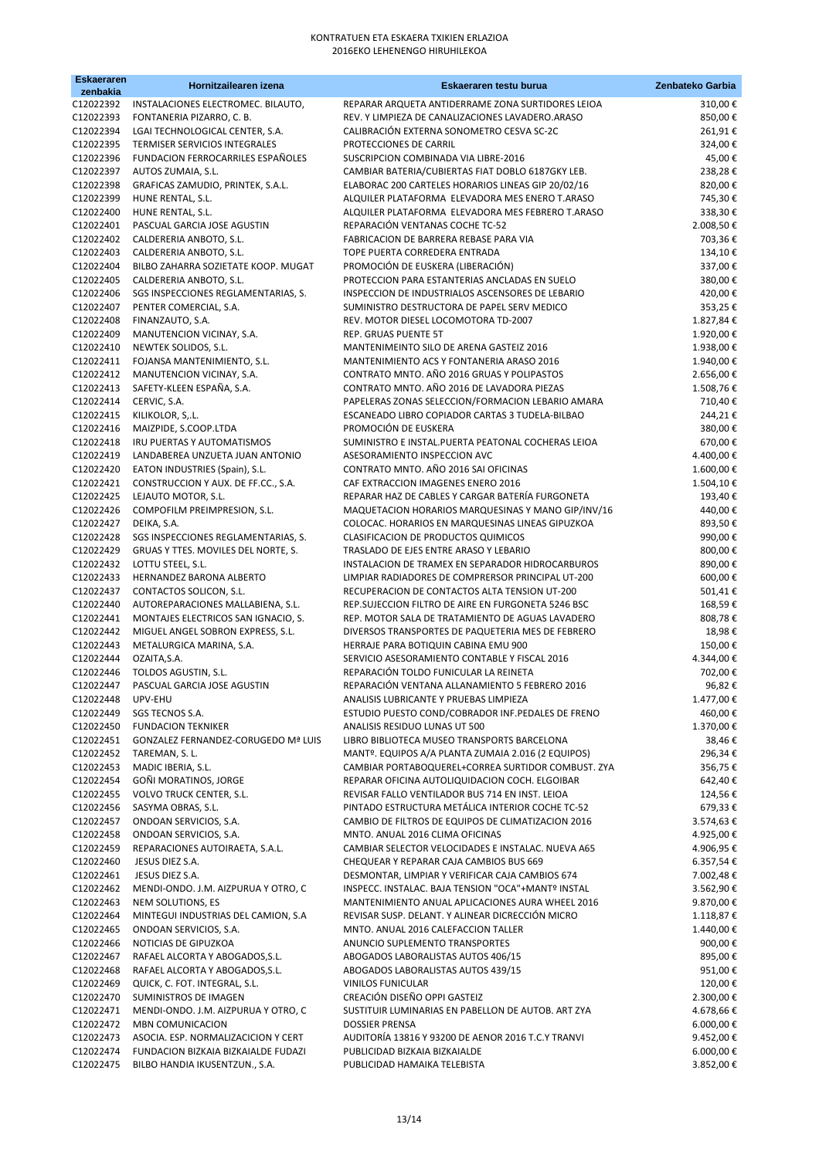| <b>Eskaeraren</b><br>zenbakia | Hornitzailearen izena                                                 | Eskaeraren testu burua                                                                                 | Zenbateko Garbia       |
|-------------------------------|-----------------------------------------------------------------------|--------------------------------------------------------------------------------------------------------|------------------------|
| C12022392                     | INSTALACIONES ELECTROMEC. BILAUTO,                                    | REPARAR ARQUETA ANTIDERRAME ZONA SURTIDORES LEIOA                                                      | 310,00€                |
| C12022393                     | FONTANERIA PIZARRO, C. B.                                             | REV. Y LIMPIEZA DE CANALIZACIONES LAVADERO.ARASO                                                       | 850,00€                |
| C12022394                     | LGAI TECHNOLOGICAL CENTER, S.A.                                       | CALIBRACIÓN EXTERNA SONOMETRO CESVA SC-2C                                                              | 261,91€                |
| C12022395<br>C12022396        | TERMISER SERVICIOS INTEGRALES<br>FUNDACION FERROCARRILES ESPAÑOLES    | PROTECCIONES DE CARRIL<br>SUSCRIPCION COMBINADA VIA LIBRE-2016                                         | 324,00€<br>45,00€      |
| C12022397                     | AUTOS ZUMAIA, S.L.                                                    | CAMBIAR BATERIA/CUBIERTAS FIAT DOBLO 6187GKY LEB.                                                      | 238,28€                |
| C12022398                     | GRAFICAS ZAMUDIO, PRINTEK, S.A.L.                                     | ELABORAC 200 CARTELES HORARIOS LINEAS GIP 20/02/16                                                     | 820,00€                |
| C12022399                     | HUNE RENTAL, S.L.                                                     | ALQUILER PLATAFORMA ELEVADORA MES ENERO T.ARASO                                                        | 745,30€                |
| C12022400                     | HUNE RENTAL, S.L.                                                     | ALQUILER PLATAFORMA ELEVADORA MES FEBRERO T.ARASO                                                      | 338,30€                |
| C12022401<br>C12022402        | PASCUAL GARCIA JOSE AGUSTIN<br>CALDERERIA ANBOTO, S.L.                | REPARACIÓN VENTANAS COCHE TC-52<br>FABRICACION DE BARRERA REBASE PARA VIA                              | 2.008,50€<br>703,36€   |
| C12022403                     | CALDERERIA ANBOTO, S.L.                                               | TOPE PUERTA CORREDERA ENTRADA                                                                          | 134,10€                |
| C12022404                     | BILBO ZAHARRA SOZIETATE KOOP. MUGAT                                   | PROMOCIÓN DE EUSKERA (LIBERACIÓN)                                                                      | 337,00€                |
| C12022405                     | CALDERERIA ANBOTO, S.L.                                               | PROTECCION PARA ESTANTERIAS ANCLADAS EN SUELO                                                          | 380,00€                |
| C12022406                     | SGS INSPECCIONES REGLAMENTARIAS, S.                                   | INSPECCION DE INDUSTRIALOS ASCENSORES DE LEBARIO                                                       | 420,00€                |
| C12022407<br>C12022408        | PENTER COMERCIAL, S.A.                                                | SUMINISTRO DESTRUCTORA DE PAPEL SERV MEDICO<br>REV. MOTOR DIESEL LOCOMOTORA TD-2007                    | 353,25€<br>1.827,84 €  |
| C12022409                     | FINANZAUTO, S.A.<br>MANUTENCION VICINAY, S.A.                         | REP. GRUAS PUENTE 5T                                                                                   | 1.920,00€              |
| C12022410                     | NEWTEK SOLIDOS, S.L.                                                  | MANTENIMEINTO SILO DE ARENA GASTEIZ 2016                                                               | 1.938,00€              |
| C12022411                     | FOJANSA MANTENIMIENTO, S.L.                                           | MANTENIMIENTO ACS Y FONTANERIA ARASO 2016                                                              | 1.940,00€              |
| C12022412                     | MANUTENCION VICINAY, S.A.                                             | CONTRATO MNTO. AÑO 2016 GRUAS Y POLIPASTOS                                                             | 2.656,00€              |
| C12022413                     | SAFETY-KLEEN ESPAÑA, S.A.                                             | CONTRATO MNTO. AÑO 2016 DE LAVADORA PIEZAS                                                             | 1.508,76€              |
| C12022414<br>C12022415        | CERVIC, S.A.<br>KILIKOLOR, S, .L.                                     | PAPELERAS ZONAS SELECCION/FORMACION LEBARIO AMARA<br>ESCANEADO LIBRO COPIADOR CARTAS 3 TUDELA-BILBAO   | 710,40€<br>244,21€     |
| C12022416                     | MAIZPIDE, S.COOP.LTDA                                                 | PROMOCIÓN DE EUSKERA                                                                                   | 380,00€                |
| C12022418                     | IRU PUERTAS Y AUTOMATISMOS                                            | SUMINISTRO E INSTAL. PUERTA PEATONAL COCHERAS LEIOA                                                    | 670,00€                |
| C12022419                     | LANDABEREA UNZUETA JUAN ANTONIO                                       | ASESORAMIENTO INSPECCION AVC                                                                           | 4.400,00€              |
| C12022420                     | EATON INDUSTRIES (Spain), S.L.                                        | CONTRATO MNTO. AÑO 2016 SAI OFICINAS                                                                   | 1.600,00€              |
| C12022421<br>C12022425        | CONSTRUCCION Y AUX. DE FF.CC., S.A.<br>LEJAUTO MOTOR, S.L.            | CAF EXTRACCION IMAGENES ENERO 2016<br>REPARAR HAZ DE CABLES Y CARGAR BATERÍA FURGONETA                 | 1.504,10€<br>193,40€   |
| C12022426                     | COMPOFILM PREIMPRESION, S.L.                                          | MAQUETACION HORARIOS MARQUESINAS Y MANO GIP/INV/16                                                     | 440,00€                |
| C12022427                     | DEIKA, S.A.                                                           | COLOCAC. HORARIOS EN MARQUESINAS LINEAS GIPUZKOA                                                       | 893,50€                |
| C12022428                     | SGS INSPECCIONES REGLAMENTARIAS, S.                                   | <b>CLASIFICACION DE PRODUCTOS QUIMICOS</b>                                                             | 990,00€                |
| C12022429                     | GRUAS Y TTES. MOVILES DEL NORTE, S.                                   | TRASLADO DE EJES ENTRE ARASO Y LEBARIO                                                                 | 800,00€                |
| C12022432<br>C12022433        | LOTTU STEEL, S.L.<br>HERNANDEZ BARONA ALBERTO                         | INSTALACION DE TRAMEX EN SEPARADOR HIDROCARBUROS<br>LIMPIAR RADIADORES DE COMPRERSOR PRINCIPAL UT-200  | 890,00€<br>600,00€     |
| C12022437                     | CONTACTOS SOLICON, S.L.                                               | RECUPERACION DE CONTACTOS ALTA TENSION UT-200                                                          | 501,41€                |
| C12022440                     | AUTOREPARACIONES MALLABIENA, S.L.                                     | REP. SUJECCION FILTRO DE AIRE EN FURGONETA 5246 BSC                                                    | 168,59€                |
| C12022441                     | MONTAJES ELECTRICOS SAN IGNACIO, S.                                   | REP. MOTOR SALA DE TRATAMIENTO DE AGUAS LAVADERO                                                       | 808,78€                |
| C12022442                     | MIGUEL ANGEL SOBRON EXPRESS, S.L.                                     | DIVERSOS TRANSPORTES DE PAQUETERIA MES DE FEBRERO                                                      | 18,98€                 |
| C12022443<br>C12022444        | METALURGICA MARINA, S.A.<br>OZAITA, S.A.                              | HERRAJE PARA BOTIQUIN CABINA EMU 900<br>SERVICIO ASESORAMIENTO CONTABLE Y FISCAL 2016                  | 150,00€<br>4.344,00€   |
| C12022446                     | TOLDOS AGUSTIN, S.L.                                                  | REPARACIÓN TOLDO FUNICULAR LA REINETA                                                                  | 702,00€                |
| C12022447                     | PASCUAL GARCIA JOSE AGUSTIN                                           | REPARACIÓN VENTANA ALLANAMIENTO 5 FEBRERO 2016                                                         | 96,82€                 |
| C12022448                     | UPV-EHU                                                               | ANALISIS LUBRICANTE Y PRUEBAS LIMPIEZA                                                                 | 1.477,00€              |
| C12022449                     | SGS TECNOS S.A.                                                       | ESTUDIO PUESTO COND/COBRADOR INF.PEDALES DE FRENO                                                      | 460,00€                |
| C12022450<br>C12022451        | <b>FUNDACION TEKNIKER</b><br>GONZALEZ FERNANDEZ-CORUGEDO Mª LUIS      | ANALISIS RESIDUO LUNAS UT 500<br>LIBRO BIBLIOTECA MUSEO TRANSPORTS BARCELONA                           | 1.370,00€<br>38,46€    |
| C12022452                     | TAREMAN, S.L.                                                         | MANTº. EQUIPOS A/A PLANTA ZUMAIA 2.016 (2 EQUIPOS)                                                     | 296,34€                |
| C12022453                     | MADIC IBERIA, S.L.                                                    | CAMBIAR PORTABOQUEREL+CORREA SURTIDOR COMBUST. ZYA                                                     | 356,75€                |
| C12022454                     | GOÑI MORATINOS, JORGE                                                 | REPARAR OFICINA AUTOLIQUIDACION COCH. ELGOIBAR                                                         | 642,40€                |
| C12022455                     | VOLVO TRUCK CENTER, S.L.                                              | REVISAR FALLO VENTILADOR BUS 714 EN INST. LEIOA                                                        | 124,56€                |
| C12022456<br>C12022457        | SASYMA OBRAS, S.L.<br>ONDOAN SERVICIOS, S.A.                          | PINTADO ESTRUCTURA METÁLICA INTERIOR COCHE TC-52<br>CAMBIO DE FILTROS DE EQUIPOS DE CLIMATIZACION 2016 | 679,33€<br>3.574,63€   |
| C12022458                     | ONDOAN SERVICIOS, S.A.                                                | MNTO. ANUAL 2016 CLIMA OFICINAS                                                                        | 4.925,00€              |
| C12022459                     | REPARACIONES AUTOIRAETA, S.A.L.                                       | CAMBIAR SELECTOR VELOCIDADES E INSTALAC. NUEVA A65                                                     | 4.906,95€              |
| C12022460                     | JESUS DIEZ S.A.                                                       | CHEQUEAR Y REPARAR CAJA CAMBIOS BUS 669                                                                | 6.357,54€              |
| C12022461                     | JESUS DIEZ S.A.                                                       | DESMONTAR, LIMPIAR Y VERIFICAR CAJA CAMBIOS 674                                                        | 7.002,48€              |
| C12022462<br>C12022463        | MENDI-ONDO. J.M. AIZPURUA Y OTRO, C<br>NEM SOLUTIONS, ES              | INSPECC. INSTALAC. BAJA TENSION "OCA"+MANTº INSTAL<br>MANTENIMIENTO ANUAL APLICACIONES AURA WHEEL 2016 | 3.562,90€<br>9.870,00€ |
| C12022464                     | MINTEGUI INDUSTRIAS DEL CAMION, S.A                                   | REVISAR SUSP. DELANT. Y ALINEAR DICRECCIÓN MICRO                                                       | 1.118,87€              |
| C12022465                     | ONDOAN SERVICIOS, S.A.                                                | MNTO. ANUAL 2016 CALEFACCION TALLER                                                                    | 1.440,00€              |
| C12022466                     | NOTICIAS DE GIPUZKOA                                                  | ANUNCIO SUPLEMENTO TRANSPORTES                                                                         | 900,00€                |
| C12022467                     | RAFAEL ALCORTA Y ABOGADOS, S.L.                                       | ABOGADOS LABORALISTAS AUTOS 406/15                                                                     | 895,00€                |
| C12022468<br>C12022469        | RAFAEL ALCORTA Y ABOGADOS, S.L.<br>QUICK, C. FOT. INTEGRAL, S.L.      | ABOGADOS LABORALISTAS AUTOS 439/15<br><b>VINILOS FUNICULAR</b>                                         | 951,00€<br>120,00€     |
| C12022470                     | SUMINISTROS DE IMAGEN                                                 | CREACIÓN DISEÑO OPPI GASTEIZ                                                                           | 2.300,00€              |
| C12022471                     | MENDI-ONDO. J.M. AIZPURUA Y OTRO, C                                   | SUSTITUIR LUMINARIAS EN PABELLON DE AUTOB. ART ZYA                                                     | 4.678,66€              |
| C12022472                     | MBN COMUNICACION                                                      | <b>DOSSIER PRENSA</b>                                                                                  | 6.000,00€              |
| C12022473                     | ASOCIA. ESP. NORMALIZACICION Y CERT                                   | AUDITORÍA 13816 Y 93200 DE AENOR 2016 T.C.Y TRANVI                                                     | 9.452,00€              |
| C12022474<br>C12022475        | FUNDACION BIZKAIA BIZKAIALDE FUDAZI<br>BILBO HANDIA IKUSENTZUN., S.A. | PUBLICIDAD BIZKAIA BIZKAIALDE<br>PUBLICIDAD HAMAIKA TELEBISTA                                          | 6.000,00€<br>3.852,00€ |
|                               |                                                                       |                                                                                                        |                        |